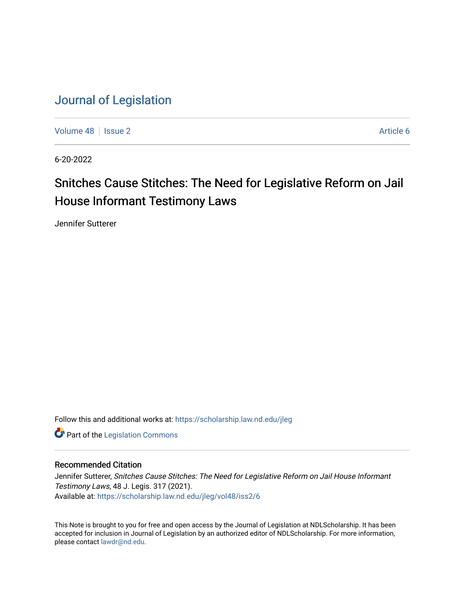[Volume 48](https://scholarship.law.nd.edu/jleg/vol48) | [Issue 2](https://scholarship.law.nd.edu/jleg/vol48/iss2) Article 6

6-20-2022

# Snitches Cause Stitches: The Need for Legislative Reform on Jail House Informant Testimony Laws

Jennifer Sutterer

Follow this and additional works at: [https://scholarship.law.nd.edu/jleg](https://scholarship.law.nd.edu/jleg?utm_source=scholarship.law.nd.edu%2Fjleg%2Fvol48%2Fiss2%2F6&utm_medium=PDF&utm_campaign=PDFCoverPages) 

**Part of the [Legislation Commons](https://network.bepress.com/hgg/discipline/859?utm_source=scholarship.law.nd.edu%2Fjleg%2Fvol48%2Fiss2%2F6&utm_medium=PDF&utm_campaign=PDFCoverPages)** 

## Recommended Citation

Jennifer Sutterer, Snitches Cause Stitches: The Need for Legislative Reform on Jail House Informant Testimony Laws, 48 J. Legis. 317 (2021). Available at: [https://scholarship.law.nd.edu/jleg/vol48/iss2/6](https://scholarship.law.nd.edu/jleg/vol48/iss2/6?utm_source=scholarship.law.nd.edu%2Fjleg%2Fvol48%2Fiss2%2F6&utm_medium=PDF&utm_campaign=PDFCoverPages) 

This Note is brought to you for free and open access by the Journal of Legislation at NDLScholarship. It has been accepted for inclusion in Journal of Legislation by an authorized editor of NDLScholarship. For more information, please contact [lawdr@nd.edu](mailto:lawdr@nd.edu).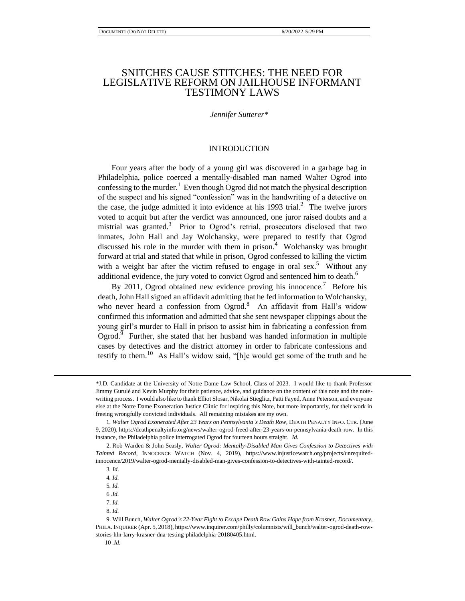## SNITCHES CAUSE STITCHES: THE NEED FOR LEGISLATIVE REFORM ON JAILHOUSE INFORMANT TESTIMONY LAWS

#### *Jennifer Sutterer\**

#### INTRODUCTION

Four years after the body of a young girl was discovered in a garbage bag in Philadelphia, police coerced a mentally-disabled man named Walter Ogrod into confessing to the murder.<sup>1</sup> Even though Ogrod did not match the physical description of the suspect and his signed "confession" was in the handwriting of a detective on the case, the judge admitted it into evidence at his  $1993$  trial.<sup>2</sup> The twelve jurors voted to acquit but after the verdict was announced, one juror raised doubts and a mistrial was granted.<sup>3</sup> Prior to Ogrod's retrial, prosecutors disclosed that two inmates, John Hall and Jay Wolchansky, were prepared to testify that Ogrod discussed his role in the murder with them in prison. $4$  Wolchansky was brought forward at trial and stated that while in prison, Ogrod confessed to killing the victim with a weight bar after the victim refused to engage in oral sex.<sup>5</sup> Without any additional evidence, the jury voted to convict Ogrod and sentenced him to death. $^6$ 

By 2011, Ogrod obtained new evidence proving his innocence.<sup>7</sup> Before his death, John Hall signed an affidavit admitting that he fed information to Wolchansky, who never heard a confession from Ogrod.<sup>8</sup> An affidavit from Hall's widow confirmed this information and admitted that she sent newspaper clippings about the young girl's murder to Hall in prison to assist him in fabricating a confession from Ogrod. $9$  Further, she stated that her husband was handed information in multiple cases by detectives and the district attorney in order to fabricate confessions and testify to them.<sup>10</sup> As Hall's widow said, "[h]e would get some of the truth and he

*<sup>\*</sup>*J.D. Candidate at the University of Notre Dame Law School, Class of 2023. I would like to thank Professor Jimmy Gurulé and Kevin Murphy for their patience, advice, and guidance on the content of this note and the notewriting process. I would also like to thank Elliot Slosar, Nikolai Stieglitz, Patti Fayed, Anne Peterson, and everyone else at the Notre Dame Exoneration Justice Clinic for inspiring this Note, but more importantly, for their work in freeing wrongfully convicted individuals. All remaining mistakes are my own.

1*. Walter Ogrod Exonerated After 23 Years on Pennsylvania's Death Row*, DEATH PENALTY INFO. CTR. (June 9, 2020), https://deathpenaltyinfo.org/news/walter-ogrod-freed-after-23-years-on-pennsylvania-death-row. In this instance, the Philadelphia police interrogated Ogrod for fourteen hours straight. *Id.* 

 <sup>2.</sup> Rob Warden & John Seasly, *Walter Ogrod: Mentally-Disabled Man Gives Confession to Detectives with Tainted Record*, INNOCENCE WATCH (Nov. 4, 2019), https://www.injusticewatch.org/projects/unrequitedinnocence/2019/walter-ogrod-mentally-disabled-man-gives-confession-to-detectives-with-tainted-record/.

3*. Id.*

4*. Id.* 

5*. Id.*

6 *.Id.*

 <sup>7.</sup> *Id.*

 <sup>8.</sup> *Id.*

 <sup>9.</sup> Will Bunch, *Walter Ogrod's 22-Year Fight to Escape Death Row Gains Hope from Krasner, Documentary*, PHILA. INQUIRER (Apr. 5, 2018), https://www.inquirer.com/philly/columnists/will\_bunch/walter-ogrod-death-rowstories-hln-larry-krasner-dna-testing-philadelphia-20180405.html.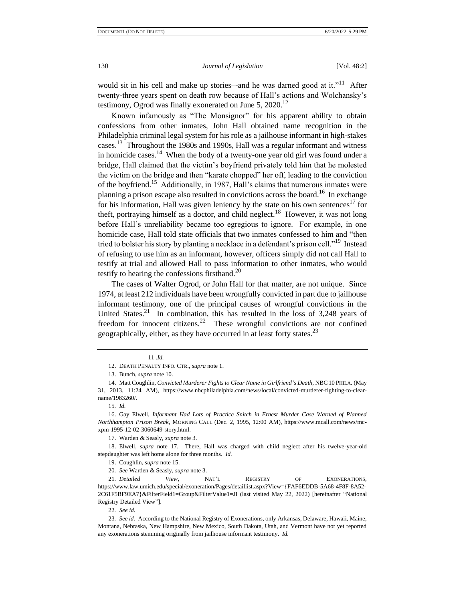would sit in his cell and make up stories—and he was darned good at it."<sup>11</sup> After twenty-three years spent on death row because of Hall's actions and Wolchansky's testimony, Ogrod was finally exonerated on June 5,  $2020$ .<sup>12</sup>

Known infamously as "The Monsignor" for his apparent ability to obtain confessions from other inmates, John Hall obtained name recognition in the Philadelphia criminal legal system for his role as a jailhouse informant in high-stakes cases.<sup>13</sup> Throughout the 1980s and 1990s, Hall was a regular informant and witness in homicide cases.<sup>14</sup> When the body of a twenty-one year old girl was found under a bridge, Hall claimed that the victim's boyfriend privately told him that he molested the victim on the bridge and then "karate chopped" her off, leading to the conviction of the boyfriend.<sup>15</sup> Additionally, in 1987, Hall's claims that numerous inmates were planning a prison escape also resulted in convictions across the board.<sup>16</sup> In exchange for his information, Hall was given leniency by the state on his own sentences<sup>17</sup> for theft, portraying himself as a doctor, and child neglect.<sup>18</sup> However, it was not long before Hall's unreliability became too egregious to ignore. For example, in one homicide case, Hall told state officials that two inmates confessed to him and "then tried to bolster his story by planting a necklace in a defendant's prison cell."<sup>19</sup> Instead of refusing to use him as an informant, however, officers simply did not call Hall to testify at trial and allowed Hall to pass information to other inmates, who would testify to hearing the confessions firsthand. $^{20}$ 

The cases of Walter Ogrod, or John Hall for that matter, are not unique. Since 1974, at least 212 individuals have been wrongfully convicted in part due to jailhouse informant testimony, one of the principal causes of wrongful convictions in the United States.<sup>21</sup> In combination, this has resulted in the loss of  $3,248$  years of freedom for innocent citizens.<sup>22</sup> These wrongful convictions are not confined geographically, either, as they have occurred in at least forty states. $^{23}$ 

11 *.Id.* 

<sup>12.</sup> DEATH PENALTY INFO. CTR., *supra* note 1.

<sup>13.</sup> Bunch, *supra* note 10.

<sup>14.</sup> Matt Coughlin, *Convicted Murderer Fights to Clear Name in Girlfriend's Death*, NBC10 PHILA. (May 31, 2013, 11:24 AM), https://www.nbcphiladelphia.com/news/local/convicted-murderer-fighting-to-clearname/1983260/.

<sup>15</sup>*. Id.*

<sup>16.</sup> Gay Elwell, *Informant Had Lots of Practice Snitch in Ernest Murder Case Warned of Planned Northhampton Prison Break*, MORNING CALL (Dec. 2, 1995, 12:00 AM), https://www.mcall.com/news/mcxpm-1995-12-02-3060649-story.html.

<sup>17.</sup> Warden & Seasly, *supra* note 3.

<sup>18.</sup> Elwell, *supra* note 17. There, Hall was charged with child neglect after his twelve-year-old stepdaughter was left home alone for three months. *Id.* 

<sup>19.</sup> Coughlin, *supra* note 15.

<sup>20</sup>*. See* Warden & Seasly, *supra* note 3.

<sup>21</sup>*. Detailed View*, NAT'L REGISTRY OF EXONERATIONS, https://www.law.umich.edu/special/exoneration/Pages/detaillist.aspx?View={FAF6EDDB-5A68-4F8F-8A52- 2C61F5BF9EA7}&FilterField1=Group&FilterValue1=JI (last visited May 22, 2022) [hereinafter "National Registry Detailed View"].

<sup>22</sup>*. See id.* 

<sup>23</sup>*. See id.* According to the National Registry of Exonerations, only Arkansas, Delaware, Hawaii, Maine, Montana, Nebraska, New Hampshire, New Mexico, South Dakota, Utah, and Vermont have not yet reported any exonerations stemming originally from jailhouse informant testimony. *Id.*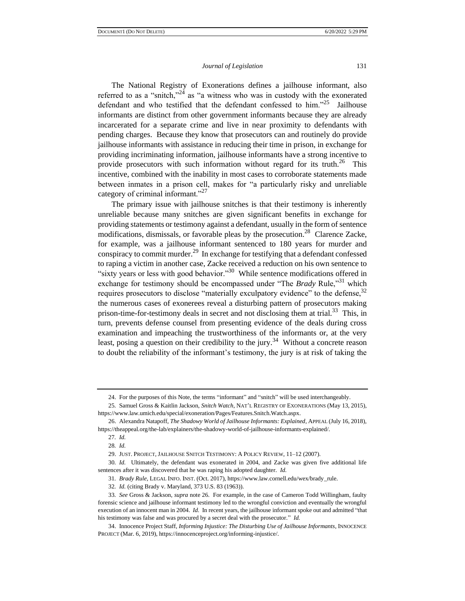The National Registry of Exonerations defines a jailhouse informant, also referred to as a "snitch,"<sup>24</sup> as "a witness who was in custody with the exonerated defendant and who testified that the defendant confessed to  $\lim_{n \to \infty}$  Jailhouse informants are distinct from other government informants because they are already incarcerated for a separate crime and live in near proximity to defendants with pending charges. Because they know that prosecutors can and routinely do provide jailhouse informants with assistance in reducing their time in prison, in exchange for providing incriminating information, jailhouse informants have a strong incentive to provide prosecutors with such information without regard for its truth.<sup>26</sup> This incentive, combined with the inability in most cases to corroborate statements made between inmates in a prison cell, makes for "a particularly risky and unreliable category of criminal informant."<sup>27</sup>

The primary issue with jailhouse snitches is that their testimony is inherently unreliable because many snitches are given significant benefits in exchange for providing statements or testimony against a defendant, usually in the form of sentence modifications, dismissals, or favorable pleas by the prosecution.<sup>28</sup> Clarence Zacke, for example, was a jailhouse informant sentenced to 180 years for murder and conspiracy to commit murder.<sup>29</sup> In exchange for testifying that a defendant confessed to raping a victim in another case, Zacke received a reduction on his own sentence to "sixty years or less with good behavior."<sup>30</sup> While sentence modifications offered in exchange for testimony should be encompassed under "The *Brady* Rule,"<sup>31</sup> which requires prosecutors to disclose "materially exculpatory evidence" to the defense,  $32$ the numerous cases of exonerees reveal a disturbing pattern of prosecutors making prison-time-for-testimony deals in secret and not disclosing them at trial.<sup>33</sup> This, in turn, prevents defense counsel from presenting evidence of the deals during cross examination and impeaching the trustworthiness of the informants or, at the very least, posing a question on their credibility to the jury.<sup>34</sup> Without a concrete reason to doubt the reliability of the informant's testimony, the jury is at risk of taking the

<sup>24.</sup> For the purposes of this Note, the terms "informant" and "snitch" will be used interchangeably.

<sup>25</sup>*.* Samuel Gross & Kaitlin Jackson, *Snitch Watch*, NAT'L REGISTRY OF EXONERATIONS (May 13, 2015), https://www.law.umich.edu/special/exoneration/Pages/Features.Snitch.Watch.aspx.

<sup>26.</sup> Alexandra Natapoff, *The Shadowy World of Jailhouse Informants: Explained*, APPEAL (July 16, 2018), https://theappeal.org/the-lab/explainers/the-shadowy-world-of-jailhouse-informants-explained/.

<sup>27</sup>*. Id.* 

<sup>28</sup>*. Id.*

<sup>29.</sup> JUST. PROJECT, JAILHOUSE SNITCH TESTIMONY: A POLICY REVIEW, 11–12 (2007).

<sup>30</sup>*. Id.* Ultimately, the defendant was exonerated in 2004, and Zacke was given five additional life sentences after it was discovered that he was raping his adopted daughter. *Id.* 

<sup>31</sup>*. Brady Rule*, LEGAL INFO. INST. (Oct. 2017), https://www.law.cornell.edu/wex/brady\_rule.

<sup>32</sup>*. Id.* (citing Brady v. Maryland, 373 U.S. 83 (1963)).

<sup>33</sup>*. See* Gross & Jackson, *supra* note 26. For example, in the case of Cameron Todd Willingham, faulty forensic science and jailhouse informant testimony led to the wrongful conviction and eventually the wrongful execution of an innocent man in 2004. *Id.* In recent years, the jailhouse informant spoke out and admitted "that his testimony was false and was procured by a secret deal with the prosecutor." *Id.* 

<sup>34.</sup> Innocence Project Staff, *Informing Injustice: The Disturbing Use of Jailhouse Informants*, INNOCENCE PROJECT (Mar. 6, 2019), https://innocenceproject.org/informing-injustice/.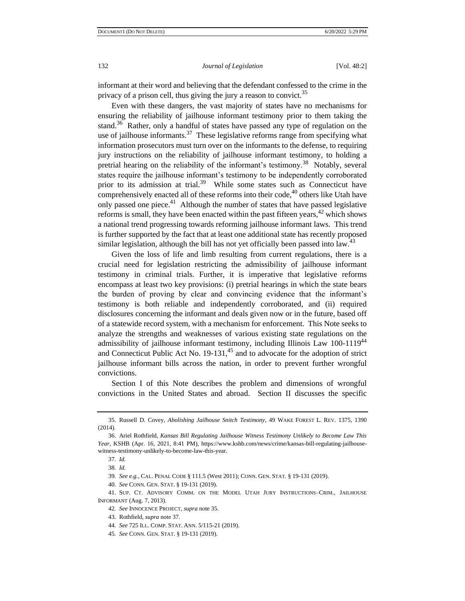informant at their word and believing that the defendant confessed to the crime in the privacy of a prison cell, thus giving the jury a reason to convict.<sup>35</sup>

Even with these dangers, the vast majority of states have no mechanisms for ensuring the reliability of jailhouse informant testimony prior to them taking the stand.<sup>36</sup> Rather, only a handful of states have passed any type of regulation on the use of jailhouse informants.<sup>37</sup> These legislative reforms range from specifying what information prosecutors must turn over on the informants to the defense, to requiring jury instructions on the reliability of jailhouse informant testimony, to holding a pretrial hearing on the reliability of the informant's testimony.<sup>38</sup> Notably, several states require the jailhouse informant's testimony to be independently corroborated prior to its admission at trial.<sup>39</sup> While some states such as Connecticut have comprehensively enacted all of these reforms into their code, $40$  others like Utah have only passed one piece. $41$  Although the number of states that have passed legislative reforms is small, they have been enacted within the past fifteen years, $42$  which shows a national trend progressing towards reforming jailhouse informant laws. This trend is further supported by the fact that at least one additional state has recently proposed similar legislation, although the bill has not yet officially been passed into law. $43$ 

Given the loss of life and limb resulting from current regulations, there is a crucial need for legislation restricting the admissibility of jailhouse informant testimony in criminal trials. Further, it is imperative that legislative reforms encompass at least two key provisions: (i) pretrial hearings in which the state bears the burden of proving by clear and convincing evidence that the informant's testimony is both reliable and independently corroborated, and (ii) required disclosures concerning the informant and deals given now or in the future, based off of a statewide record system, with a mechanism for enforcement. This Note seeks to analyze the strengths and weaknesses of various existing state regulations on the admissibility of jailhouse informant testimony, including Illinois Law 100-1119<sup>44</sup> and Connecticut Public Act No.  $19-131<sup>45</sup>$  and to advocate for the adoption of strict jailhouse informant bills across the nation, in order to prevent further wrongful convictions.

Section I of this Note describes the problem and dimensions of wrongful convictions in the United States and abroad. Section II discusses the specific

40*. See* CONN. GEN. STAT. § 19-131 (2019).

41. SUP. CT. ADVISORY COMM. ON THE MODEL UTAH JURY INSTRUCTIONS–CRIM., JAILHOUSE INFORMANT (Aug. 7, 2013).

<sup>35.</sup> Russell D. Covey, *Abolishing Jailhouse Snitch Testimony*, 49 WAKE FOREST L. REV. 1375, 1390 (2014).

<sup>36.</sup> Ariel Rothfield, *Kansas Bill Regulating Jailhouse Witness Testimony Unlikely to Become Law This Year*, KSHB (Apr. 16, 2021, 8:41 PM), https://www.kshb.com/news/crime/kansas-bill-regulating-jailhousewitness-testimony-unlikely-to-become-law-this-year.

<sup>37</sup>*. Id.*

<sup>38</sup>*. Id.* 

<sup>39</sup>*. See e.g.,* CAL. PENAL CODE § 111.5 (West 2011); CONN. GEN. STAT*.* § 19-131 (2019).

<sup>42</sup>*. See* INNOCENCE PROJECT, *supra* note 35.

<sup>43.</sup> Rothfield, *supra* note 37.

<sup>44</sup>*. See* 725 ILL. COMP. STAT. ANN. 5/115-21 (2019).

<sup>45</sup>*. See* CONN. GEN. STAT. § 19-131 (2019).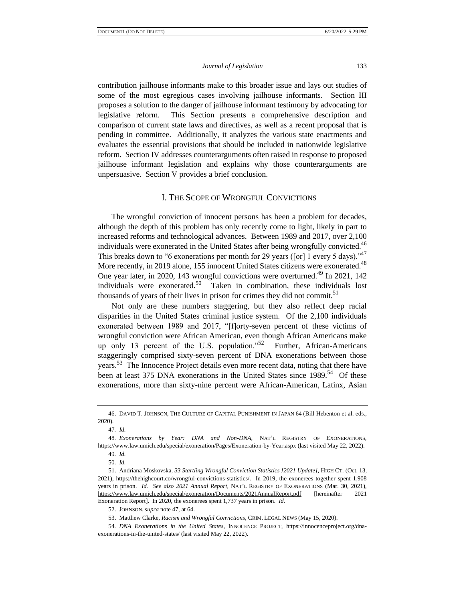contribution jailhouse informants make to this broader issue and lays out studies of some of the most egregious cases involving jailhouse informants. Section III proposes a solution to the danger of jailhouse informant testimony by advocating for legislative reform. This Section presents a comprehensive description and comparison of current state laws and directives, as well as a recent proposal that is pending in committee. Additionally, it analyzes the various state enactments and evaluates the essential provisions that should be included in nationwide legislative reform. Section IV addresses counterarguments often raised in response to proposed jailhouse informant legislation and explains why those counterarguments are unpersuasive. Section V provides a brief conclusion.

## I. THE SCOPE OF WRONGFUL CONVICTIONS

The wrongful conviction of innocent persons has been a problem for decades, although the depth of this problem has only recently come to light, likely in part to increased reforms and technological advances. Between 1989 and 2017, over 2,100 individuals were exonerated in the United States after being wrongfully convicted. $46$ This breaks down to "6 exonerations per month for 29 years ([or] 1 every 5 days)."<sup>47</sup> More recently, in 2019 alone, 155 innocent United States citizens were exonerated.<sup>48</sup> One year later, in 2020, 143 wrongful convictions were overturned.<sup>49</sup> In 2021, 142 individuals were exonerated.<sup>50</sup> Taken in combination, these individuals lost thousands of years of their lives in prison for crimes they did not commit.<sup>51</sup>

Not only are these numbers staggering, but they also reflect deep racial disparities in the United States criminal justice system. Of the 2,100 individuals exonerated between 1989 and 2017, "[f]orty-seven percent of these victims of wrongful conviction were African American, even though African Americans make up only 13 percent of the U.S. population."<sup>52</sup> Further, African-Americans staggeringly comprised sixty-seven percent of DNA exonerations between those years.<sup>53</sup> The Innocence Project details even more recent data, noting that there have been at least 375 DNA exonerations in the United States since 1989.<sup>54</sup> Of these exonerations, more than sixty-nine percent were African-American, Latinx, Asian

<sup>46.</sup> DAVID T. JOHNSON, THE CULTURE OF CAPITAL PUNISHMENT IN JAPAN 64 (Bill Hebenton et al. eds., 2020).

<sup>47</sup>*. Id.*

<sup>48</sup>*. Exonerations by Year: DNA and Non-DNA*, NAT'L REGISTRY OF EXONERATIONS, https://www.law.umich.edu/special/exoneration/Pages/Exoneration-by-Year.aspx (last visited May 22, 2022).

<sup>49</sup>*. Id.*

<sup>50</sup>*. Id.*

<sup>51.</sup> Andriana Moskovska, *33 Startling Wrongful Conviction Statistics [2021 Update]*, HIGH CT. (Oct. 13, 2021), https://thehighcourt.co/wrongful-convictions-statistics/. In 2019, the exonerees together spent 1,908 years in prison. *Id. See also 2021 Annual Report*, NAT'L REGISTRY OF EXONERATIONS (Mar. 30, 2021), <https://www.law.umich.edu/special/exoneration/Documents/2021AnnualReport.pdf> [hereinafter 2021 Exoneration Report]. In 2020, the exonerees spent 1,737 years in prison. *Id.*

<sup>52.</sup> JOHNSON, *supra* note 47, at 64.

<sup>53.</sup> Matthew Clarke, *Racism and Wrongful Convictions*, CRIM. LEGAL NEWS (May 15, 2020).

<sup>54</sup>*. DNA Exonerations in the United States*, INNOCENCE PROJECT, https://innocenceproject.org/dnaexonerations-in-the-united-states/ (last visited May 22, 2022).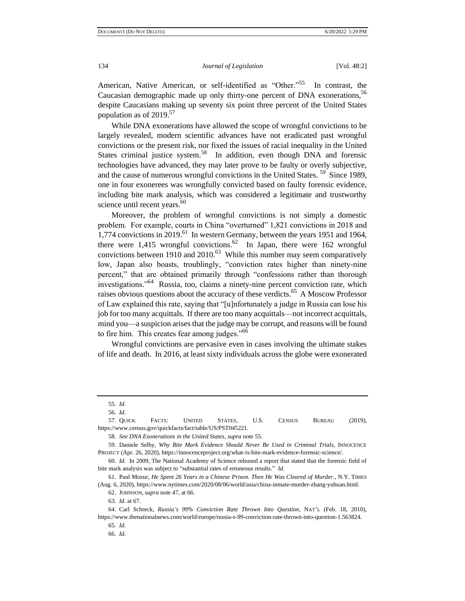American, Native American, or self-identified as "Other."<sup>55</sup> In contrast, the Caucasian demographic made up only thirty-one percent of DNA exonerations,<sup>56</sup> despite Caucasians making up seventy six point three percent of the United States population as of 2019.<sup>57</sup>

While DNA exonerations have allowed the scope of wrongful convictions to be largely revealed, modern scientific advances have not eradicated past wrongful convictions or the present risk, nor fixed the issues of racial inequality in the United States criminal justice system.<sup>58</sup> In addition, even though DNA and forensic technologies have advanced, they may later prove to be faulty or overly subjective, and the cause of numerous wrongful convictions in the United States.<sup>59</sup> Since 1989, one in four exonerees was wrongfully convicted based on faulty forensic evidence, including bite mark analysis, which was considered a legitimate and trustworthy science until recent years.<sup>60</sup>

Moreover, the problem of wrongful convictions is not simply a domestic problem. For example, courts in China "overturned" 1,821 convictions in 2018 and 1,774 convictions in 2019.<sup>61</sup> In western Germany, between the years 1951 and 1964, there were 1,415 wrongful convictions.  $62$  In Japan, there were 162 wrongful convictions between 1910 and 2010. $^{63}$  While this number may seem comparatively low, Japan also boasts, troublingly, "conviction rates higher than ninety-nine percent," that are obtained primarily through "confessions rather than thorough investigations."<sup>64</sup> Russia, too, claims a ninety-nine percent conviction rate, which raises obvious questions about the accuracy of these verdicts.<sup>65</sup> A Moscow Professor of Law explained this rate, saying that "[u]nfortunately a judge in Russia can lose his job for too many acquittals. If there are too many acquittals––not incorrect acquittals, mind you––a suspicion arises that the judge may be corrupt, and reasons will be found to fire him. This creates fear among judges."<sup>66</sup>

Wrongful convictions are pervasive even in cases involving the ultimate stakes of life and death. In 2016, at least sixty individuals across the globe were exonerated

<sup>55</sup>*. Id.*

<sup>56</sup>*. Id.*

<sup>57.</sup> QUICK FACTS: UNITED STATES, U.S. CENSUS BUREAU (2019), https://www.census.gov/quickfacts/fact/table/US/PST045221.

<sup>58</sup>*. See DNA Exonerations in the United States*, *supra* note 55.

<sup>59.</sup> Daniele Selby, *Why Bite Mark Evidence Should Never Be Used in Criminal Trials*, INNOCENCE PROJECT (Apr. 26, 2020), https://innocenceproject.org/what-is-bite-mark-evidence-forensic-science/.

<sup>60.</sup> *Id.* In 2009, The National Academy of Science released a report that stated that the forensic field of bite mark analysis was subject to "substantial rates of erroneous results." *Id.* 

<sup>61.</sup> Paul Mozur, *He Spent 26 Years in a Chinese Prison. Then He Was Cleared of Murder.*, N.Y. TIMES (Aug. 6, 2020), https://www.nytimes.com/2020/08/06/world/asia/china-inmate-murder-zhang-yuhuan.html.

<sup>62.</sup> JOHNSON, *supra* note 47, at 66.

<sup>63</sup>*. Id.* at 67.

<sup>64.</sup> Carl Schreck, *Russia's 99% Conviction Rate Thrown Into Question*, NAT'L (Feb. 18, 2010), https://www.thenationalnews.com/world/europe/russia-s-99-conviction-rate-thrown-into-question-1.563824.

<sup>65</sup>*. Id.*

<sup>66</sup>*. Id.*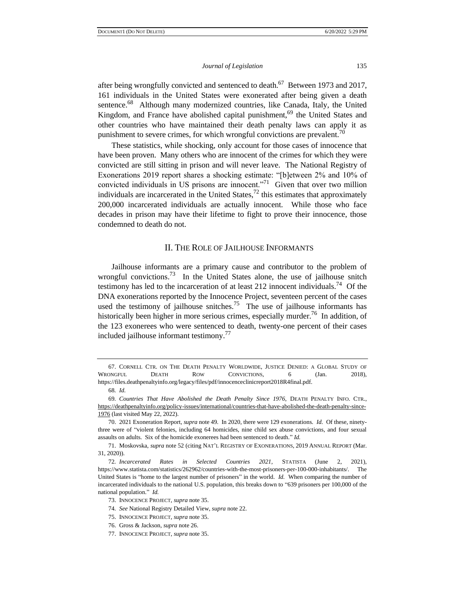after being wrongfully convicted and sentenced to death.<sup>67</sup> Between 1973 and 2017, 161 individuals in the United States were exonerated after being given a death sentence.<sup>68</sup> Although many modernized countries, like Canada, Italy, the United Kingdom, and France have abolished capital punishment,  $69$  the United States and other countries who have maintained their death penalty laws can apply it as punishment to severe crimes, for which wrongful convictions are prevalent.<sup>70</sup>

These statistics, while shocking, only account for those cases of innocence that have been proven. Many others who are innocent of the crimes for which they were convicted are still sitting in prison and will never leave. The National Registry of Exonerations 2019 report shares a shocking estimate: "[b]etween 2% and 10% of convicted individuals in US prisons are innocent. $n^{71}$  Given that over two million individuals are incarcerated in the United States, $^{72}$  this estimates that approximately 200,000 incarcerated individuals are actually innocent. While those who face decades in prison may have their lifetime to fight to prove their innocence, those condemned to death do not.

## II. THE ROLE OF JAILHOUSE INFORMANTS

Jailhouse informants are a primary cause and contributor to the problem of wrongful convictions.<sup>73</sup> In the United States alone, the use of jailhouse snitch testimony has led to the incarceration of at least 212 innocent individuals.<sup>74</sup> Of the DNA exonerations reported by the Innocence Project, seventeen percent of the cases used the testimony of jailhouse snitches.<sup>75</sup> The use of jailhouse informants has historically been higher in more serious crimes, especially murder.<sup>76</sup> In addition, of the 123 exonerees who were sentenced to death, twenty-one percent of their cases included jailhouse informant testimony.<sup>77</sup>

<sup>67.</sup> CORNELL CTR. ON THE DEATH PENALTY WORLDWIDE, JUSTICE DENIED: A GLOBAL STUDY OF WRONGFUL DEATH ROW CONVICTIONS, 6 (Jan. 2018), https://files.deathpenaltyinfo.org/legacy/files/pdf/innocenceclinicreport2018R4final.pdf.

<sup>68</sup>*. Id.*

<sup>69</sup>*. Countries That Have Abolished the Death Penalty Since 1976*, DEATH PENALTY INFO. CTR., [https://deathpenaltyinfo.org/policy-issues/international/countries-that-have-abolished-the-death-penalty-since-](https://deathpenaltyinfo.org/policy-issues/international/countries-that-have-abolished-the-death-penalty-since-1976)[1976](https://deathpenaltyinfo.org/policy-issues/international/countries-that-have-abolished-the-death-penalty-since-1976) (last visited May 22, 2022).

<sup>70.</sup> 2021 Exoneration Report, *supra* note 49. In 2020, there were 129 exonerations. *Id.* Of these, ninetythree were of "violent felonies, including 64 homicides, nine child sex abuse convictions, and four sexual assaults on adults. Six of the homicide exonerees had been sentenced to death." *Id.*

<sup>71.</sup> Moskovska, *supra* note 52 (citing NAT'L REGISTRY OF EXONERATIONS, 2019 ANNUAL REPORT (Mar. 31, 2020)).

<sup>72</sup>*. Incarcerated Rates in Selected Countries 2021,* STATISTA (June 2, 2021), https://www.statista.com/statistics/262962/countries-with-the-most-prisoners-per-100-000-inhabitants/. The United States is "home to the largest number of prisoners" in the world. *Id.* When comparing the number of incarcerated individuals to the national U.S. population, this breaks down to "639 prisoners per 100,000 of the national population." *Id.* 

<sup>73.</sup> INNOCENCE PROJECT, *supra* note 35.

<sup>74</sup>*. See* National Registry Detailed View, *supra* note 22.

<sup>75.</sup> INNOCENCE PROJECT, *supra* note 35.

<sup>76.</sup> Gross & Jackson, *supra* note 26.

<sup>77.</sup> INNOCENCE PROJECT, *supra* note 35.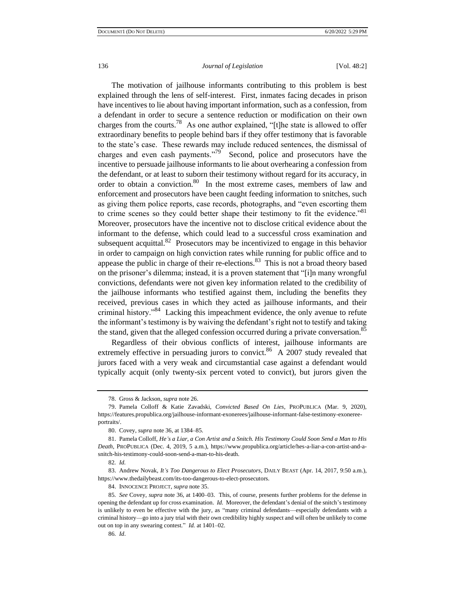The motivation of jailhouse informants contributing to this problem is best explained through the lens of self-interest. First, inmates facing decades in prison have incentives to lie about having important information, such as a confession, from a defendant in order to secure a sentence reduction or modification on their own charges from the courts.<sup>78</sup> As one author explained, "[t]he state is allowed to offer extraordinary benefits to people behind bars if they offer testimony that is favorable to the state's case. These rewards may include reduced sentences, the dismissal of charges and even cash payments."<sup>79</sup> Second, police and prosecutors have the incentive to persuade jailhouse informants to lie about overhearing a confession from the defendant, or at least to suborn their testimony without regard for its accuracy, in order to obtain a conviction.<sup>80</sup> In the most extreme cases, members of law and enforcement and prosecutors have been caught feeding information to snitches, such as giving them police reports, case records, photographs, and "even escorting them to crime scenes so they could better shape their testimony to fit the evidence."<sup>81</sup> Moreover, prosecutors have the incentive not to disclose critical evidence about the informant to the defense, which could lead to a successful cross examination and subsequent acquittal.<sup>82</sup> Prosecutors may be incentivized to engage in this behavior in order to campaign on high conviction rates while running for public office and to appease the public in charge of their re-elections. $83$  This is not a broad theory based on the prisoner's dilemma; instead, it is a proven statement that "[i]n many wrongful convictions, defendants were not given key information related to the credibility of the jailhouse informants who testified against them, including the benefits they received, previous cases in which they acted as jailhouse informants, and their criminal history."<sup>84</sup> Lacking this impeachment evidence, the only avenue to refute the informant's testimony is by waiving the defendant's right not to testify and taking the stand, given that the alleged confession occurred during a private conversation.<sup>85</sup>

Regardless of their obvious conflicts of interest, jailhouse informants are extremely effective in persuading jurors to convict.<sup>86</sup> A 2007 study revealed that jurors faced with a very weak and circumstantial case against a defendant would typically acquit (only twenty-six percent voted to convict), but jurors given the

<sup>78.</sup> Gross & Jackson, *supra* note 26.

<sup>79.</sup> Pamela Colloff & Katie Zavadski, *Convicted Based On Lies*, PROPUBLICA (Mar. 9, 2020), https://features.propublica.org/jailhouse-informant-exonerees/jailhouse-informant-false-testimony-exonereeportraits/.

<sup>80.</sup> Covey, *supra* note 36, at 1384–85.

<sup>81.</sup> Pamela Colloff, *He's a Liar, a Con Artist and a Snitch. His Testimony Could Soon Send a Man to His Death*, PROPUBLICA (Dec. 4, 2019, 5 a.m.), https://www.propublica.org/article/hes-a-liar-a-con-artist-and-asnitch-his-testimony-could-soon-send-a-man-to-his-death.

<sup>82</sup>*. Id.* 

<sup>83.</sup> Andrew Novak, *It's Too Dangerous to Elect Prosecutors*, DAILY BEAST (Apr. 14, 2017, 9:50 a.m.), https://www.thedailybeast.com/its-too-dangerous-to-elect-prosecutors.

<sup>84.</sup> INNOCENCE PROJECT, *supra* note 35.

<sup>85</sup>*. See* Covey, *supra* note 36, at 1400–03. This, of course, presents further problems for the defense in opening the defendant up for cross examination. *Id.* Moreover, the defendant's denial of the snitch's testimony is unlikely to even be effective with the jury, as "many criminal defendants––especially defendants with a criminal history––go into a jury trial with their own credibility highly suspect and will often be unlikely to come out on top in any swearing contest." *Id.* at 1401–02.

<sup>86</sup>*. Id*.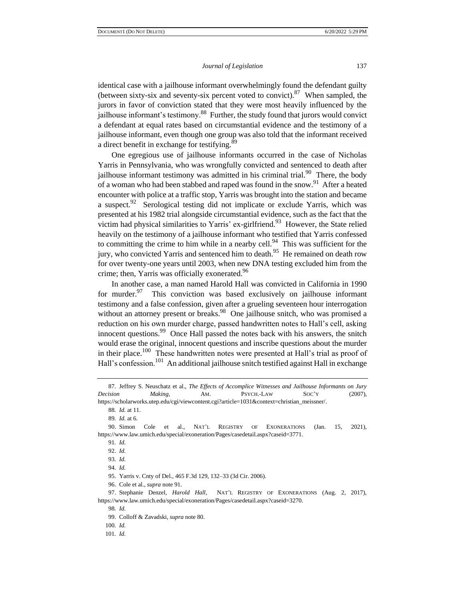identical case with a jailhouse informant overwhelmingly found the defendant guilty (between sixty-six and seventy-six percent voted to convict). <sup>87</sup> When sampled, the jurors in favor of conviction stated that they were most heavily influenced by the jailhouse informant's testimony.<sup>88</sup> Further, the study found that jurors would convict a defendant at equal rates based on circumstantial evidence and the testimony of a jailhouse informant, even though one group was also told that the informant received a direct benefit in exchange for testifying.<sup>89</sup>

One egregious use of jailhouse informants occurred in the case of Nicholas Yarris in Pennsylvania, who was wrongfully convicted and sentenced to death after jailhouse informant testimony was admitted in his criminal trial.<sup>90</sup> There, the body of a woman who had been stabbed and raped was found in the snow.<sup>91</sup> After a heated encounter with police at a traffic stop, Yarris was brought into the station and became a suspect. $92$  Serological testing did not implicate or exclude Yarris, which was presented at his 1982 trial alongside circumstantial evidence, such as the fact that the victim had physical similarities to Yarris' ex-girlfriend.<sup>93</sup> However, the State relied heavily on the testimony of a jailhouse informant who testified that Yarris confessed to committing the crime to him while in a nearby cell. $94$  This was sufficient for the jury, who convicted Yarris and sentenced him to death.<sup>95</sup> He remained on death row for over twenty-one years until 2003, when new DNA testing excluded him from the crime; then, Yarris was officially exonerated.<sup>96</sup>

In another case, a man named Harold Hall was convicted in California in 1990 for murder. $97$  This conviction was based exclusively on jailhouse informant testimony and a false confession, given after a grueling seventeen hour interrogation without an attorney present or breaks.<sup>98</sup> One jailhouse snitch, who was promised a reduction on his own murder charge, passed handwritten notes to Hall's cell, asking innocent questions.<sup>99</sup> Once Hall passed the notes back with his answers, the snitch would erase the original, innocent questions and inscribe questions about the murder in their place.<sup>100</sup> These handwritten notes were presented at Hall's trial as proof of Hall's confession.<sup>101</sup> An additional jailhouse snitch testified against Hall in exchange

88*. Id.* at 11.

89*. Id.* at 6.

95. Yarris v. Cnty of Del., 465 F.3d 129, 132–33 (3d Cir. 2006).

96. Cole et al., *supra* note 91.

98*. Id.*

<sup>87.</sup> Jeffrey S. Neuschatz et al., *The Effects of Accomplice Witnesses and Jailhouse Informants on Jury Decision Making*, AM. PSYCH.-LAW SOC'Y (2007),

https://scholarworks.utep.edu/cgi/viewcontent.cgi?article=1031&context=christian\_meissner/.

<sup>90.</sup> Simon Cole et al., NAT'L REGISTRY OF EXONERATIONS (Jan. 15, 2021), https://www.law.umich.edu/special/exoneration/Pages/casedetail.aspx?caseid=3771.

<sup>91</sup>*. Id.* 

<sup>92.</sup> *Id.* 

<sup>93</sup>*. Id.* 

<sup>94</sup>*. Id.* 

<sup>97.</sup> Stephanie Denzel, *Harold Hall*, NAT'L REGISTRY OF EXONERATIONS (Aug. 2, 2017), https://www.law.umich.edu/special/exoneration/Pages/casedetail.aspx?caseid=3270.

<sup>99.</sup> Colloff & Zavadski, *supra* note 80.

<sup>100</sup>*. Id.*

<sup>101</sup>*. Id.*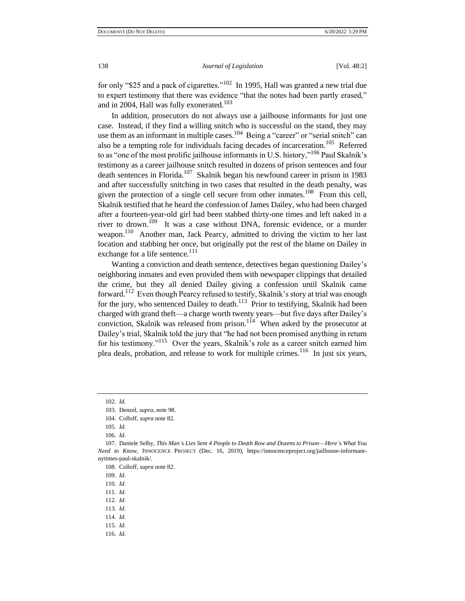for only "\$25 and a pack of cigarettes."<sup>102</sup> In 1995, Hall was granted a new trial due to expert testimony that there was evidence "that the notes had been partly erased," and in 2004, Hall was fully exonerated.<sup>103</sup>

In addition, prosecutors do not always use a jailhouse informants for just one case. Instead, if they find a willing snitch who is successful on the stand, they may use them as an informant in multiple cases.  $104$  Being a "career" or "serial snitch" can also be a tempting role for individuals facing decades of incarceration.<sup>105</sup> Referred to as "one of the most prolific jailhouse informants in U.S. history,"<sup>106</sup> Paul Skalnik's testimony as a career jailhouse snitch resulted in dozens of prison sentences and four death sentences in Florida.<sup>107</sup> Skalnik began his newfound career in prison in 1983 and after successfully snitching in two cases that resulted in the death penalty, was given the protection of a single cell secure from other inmates.<sup>108</sup> From this cell, Skalnik testified that he heard the confession of James Dailey, who had been charged after a fourteen-year-old girl had been stabbed thirty-one times and left naked in a river to drown.<sup>109</sup> It was a case without DNA, forensic evidence, or a murder weapon.<sup>110</sup> Another man, Jack Pearcy, admitted to driving the victim to her last location and stabbing her once, but originally put the rest of the blame on Dailey in exchange for a life sentence.<sup>111</sup>

Wanting a conviction and death sentence, detectives began questioning Dailey's neighboring inmates and even provided them with newspaper clippings that detailed the crime, but they all denied Dailey giving a confession until Skalnik came forward.<sup>112</sup> Even though Pearcy refused to testify, Skalnik's story at trial was enough for the jury, who sentenced Dailey to death.<sup>113</sup> Prior to testifying, Skalnik had been charged with grand theft—a charge worth twenty years—but five days after Dailey's conviction, Skalnik was released from prison. $114$  When asked by the prosecutor at Dailey's trial, Skalnik told the jury that "he had not been promised anything in return for his testimony."<sup>115</sup> Over the years, Skalnik's role as a career snitch earned him plea deals, probation, and release to work for multiple crimes.<sup>116</sup> In just six years,

116*. Id.* 

<sup>102</sup>*. Id.*

<sup>103.</sup> Denzel, *supra*, note 98.

<sup>104.</sup> Colloff, *supra* note 82.

<sup>105</sup>*. Id.*

<sup>106</sup>*. Id.* 

<sup>107.</sup> Daniele Selby, *This Man's Lies Sent 4 People to Death Row and Dozens to Prison––Here's What You Need to Know*, INNOCENCE PROJECT (Dec. 16, 2019), https://innocenceproject.org/jailhouse-informantnytimes-paul-skalnik/.

<sup>108.</sup> Colloff, *supra* note 82.

<sup>109</sup>*. Id.* 

<sup>110</sup>*. Id.* 

<sup>111</sup>*. Id.* 

<sup>112</sup>*. Id.* 

<sup>113</sup>*. Id.*

<sup>114</sup>*. Id.* 

<sup>115</sup>*. Id.*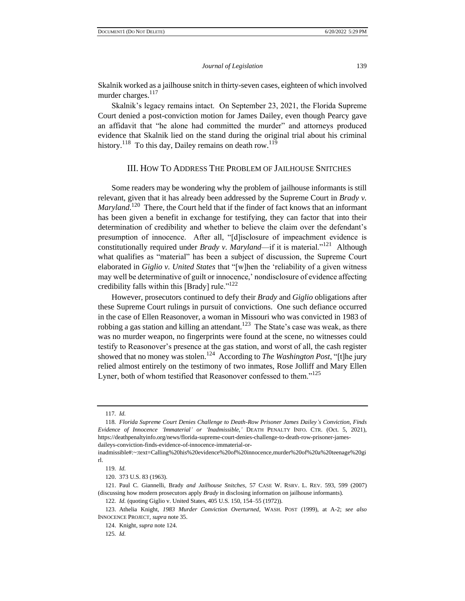Skalnik worked as a jailhouse snitch in thirty-seven cases, eighteen of which involved murder charges. $117$ 

Skalnik's legacy remains intact. On September 23, 2021, the Florida Supreme Court denied a post-conviction motion for James Dailey, even though Pearcy gave an affidavit that "he alone had committed the murder" and attorneys produced evidence that Skalnik lied on the stand during the original trial about his criminal history.<sup>118</sup> To this day, Dailey remains on death row.<sup>119</sup>

#### III. HOW TO ADDRESS THE PROBLEM OF JAILHOUSE SNITCHES

Some readers may be wondering why the problem of jailhouse informants is still relevant, given that it has already been addressed by the Supreme Court in *Brady v.*  Maryland.<sup>120</sup> There, the Court held that if the finder of fact knows that an informant has been given a benefit in exchange for testifying, they can factor that into their determination of credibility and whether to believe the claim over the defendant's presumption of innocence. After all, "[d]isclosure of impeachment evidence is constitutionally required under *Brady v. Maryland*—if it is material."<sup>121</sup> Although what qualifies as "material" has been a subject of discussion, the Supreme Court elaborated in *Giglio v. United States* that "[w]hen the 'reliability of a given witness may well be determinative of guilt or innocence,' nondisclosure of evidence affecting credibility falls within this [Brady] rule."<sup>122</sup>

However, prosecutors continued to defy their *Brady* and *Giglio* obligations after these Supreme Court rulings in pursuit of convictions. One such defiance occurred in the case of Ellen Reasonover, a woman in Missouri who was convicted in 1983 of robbing a gas station and killing an attendant.<sup>123</sup> The State's case was weak, as there was no murder weapon, no fingerprints were found at the scene, no witnesses could testify to Reasonover's presence at the gas station, and worst of all, the cash register showed that no money was stolen.<sup>124</sup> According to *The Washington Post*, "[t]he jury relied almost entirely on the testimony of two inmates, Rose Jolliff and Mary Ellen Lyner, both of whom testified that Reasonover confessed to them."<sup>125</sup>

<sup>117</sup>*. Id.* 

<sup>118</sup>*. Florida Supreme Court Denies Challenge to Death-Row Prisoner James Dailey's Conviction, Finds Evidence of Innocence 'Immaterial' or 'Inadmissible,'* DEATH PENALTY INFO. CTR. (Oct. 5, 2021), https://deathpenaltyinfo.org/news/florida-supreme-court-denies-challenge-to-death-row-prisoner-jamesdaileys-conviction-finds-evidence-of-innocence-immaterial-or-

inadmissible#:~:text=Calling%20his%20evidence%20of%20innocence,murder%20of%20a%20teenage%20gi rl.

<sup>119</sup>*. Id.*

<sup>120.</sup> 373 U.S. 83 (1963).

<sup>121.</sup> Paul C. Giannelli, Brady *and Jailhouse Snitches*, 57 CASE W. RSRV. L. REV. 593, 599 (2007) (discussing how modern prosecutors apply *Brady* in disclosing information on jailhouse informants).

<sup>122</sup>*. Id.* (quoting Giglio v. United States, 405 U.S. 150, 154–55 (1972)).

<sup>123.</sup> Athelia Knight, *1983 Murder Conviction Overturned*, WASH. POST (1999), at A-2; *see also*  INNOCENCE PROJECT, *supra* note 35.

<sup>124.</sup> Knight, *supra* note 124.

<sup>125</sup>*. Id.*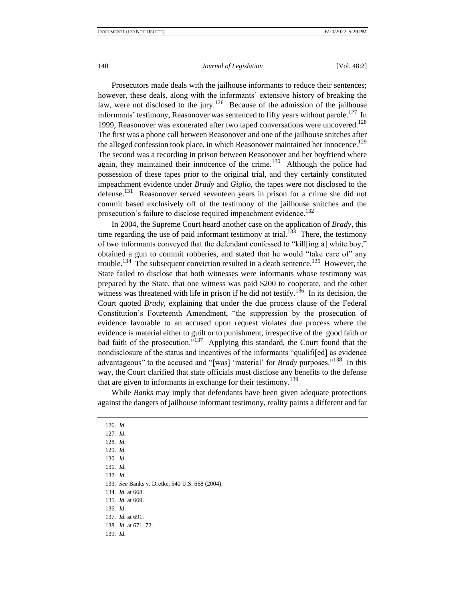Prosecutors made deals with the jailhouse informants to reduce their sentences; however, these deals, along with the informants' extensive history of breaking the law, were not disclosed to the jury.<sup>126</sup> Because of the admission of the jailhouse informants' testimony, Reasonover was sentenced to fifty years without parole.<sup>127</sup> In 1999, Reasonover was exonerated after two taped conversations were uncovered.<sup>128</sup> The first was a phone call between Reasonover and one of the jailhouse snitches after the alleged confession took place, in which Reasonover maintained her innocence.<sup>129</sup> The second was a recording in prison between Reasonover and her boyfriend where again, they maintained their innocence of the crime.<sup>130</sup> Although the police had possession of these tapes prior to the original trial, and they certainly constituted impeachment evidence under *Brady* and *Giglio*, the tapes were not disclosed to the defense.<sup>131</sup> Reasonover served seventeen years in prison for a crime she did not commit based exclusively off of the testimony of the jailhouse snitches and the prosecution's failure to disclose required impeachment evidence.<sup>132</sup>

In 2004, the Supreme Court heard another case on the application of *Brady,* this time regarding the use of paid informant testimony at trial.<sup>133</sup> There, the testimony of two informants conveyed that the defendant confessed to "kill[ing a] white boy," obtained a gun to commit robberies, and stated that he would "take care of" any trouble.<sup>134</sup> The subsequent conviction resulted in a death sentence.<sup>135</sup> However, the State failed to disclose that both witnesses were informants whose testimony was prepared by the State, that one witness was paid \$200 to cooperate, and the other witness was threatened with life in prison if he did not testify.<sup>136</sup> In its decision, the Court quoted *Brady*, explaining that under the due process clause of the Federal Constitution's Fourteenth Amendment, "the suppression by the prosecution of evidence favorable to an accused upon request violates due process where the evidence is material either to guilt or to punishment, irrespective of the good faith or bad faith of the prosecution."<sup>137</sup> Applying this standard, the Court found that the nondisclosure of the status and incentives of the informants "qualifi[ed] as evidence advantageous" to the accused and "[was] 'material' for *Brady* purposes."<sup>138</sup> In this way, the Court clarified that state officials must disclose any benefits to the defense that are given to informants in exchange for their testimony.<sup>139</sup>

While *Banks* may imply that defendants have been given adequate protections against the dangers of jailhouse informant testimony, reality paints a different and far

132*. Id.*

<sup>126</sup>*. Id.* 

<sup>127</sup>*. Id.* 

<sup>128</sup>*. Id.*

<sup>129</sup>*. Id.* 

<sup>130</sup>*. Id.* 

<sup>131</sup>*. Id.* 

<sup>133</sup>*. See* Banks v. Dretke, 540 U.S. 668 (2004).

<sup>134</sup>*. Id.* at 668.

<sup>135</sup>*. Id.* at 669.

<sup>136</sup>*. Id*.

<sup>137</sup>*. Id.* at 691.

<sup>138</sup>*. Id.* at 671–72.

<sup>139</sup>*. Id.*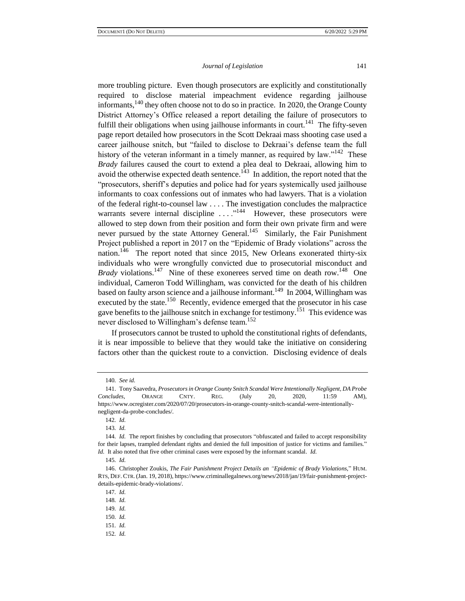more troubling picture. Even though prosecutors are explicitly and constitutionally required to disclose material impeachment evidence regarding jailhouse informants,<sup>140</sup> they often choose not to do so in practice. In 2020, the Orange County District Attorney's Office released a report detailing the failure of prosecutors to fulfill their obligations when using jailhouse informants in court.<sup>141</sup> The fifty-seven page report detailed how prosecutors in the Scott Dekraai mass shooting case used a career jailhouse snitch, but "failed to disclose to Dekraai's defense team the full history of the veteran informant in a timely manner, as required by law."<sup>142</sup> These *Brady* failures caused the court to extend a plea deal to Dekraai, allowing him to avoid the otherwise expected death sentence.<sup>143</sup> In addition, the report noted that the "prosecutors, sheriff's deputies and police had for years systemically used jailhouse informants to coax confessions out of inmates who had lawyers. That is a violation of the federal right-to-counsel law . . . . The investigation concludes the malpractice warrants severe internal discipline ...."<sup>144</sup> However, these prosecutors were allowed to step down from their position and form their own private firm and were never pursued by the state Attorney General.<sup>145</sup> Similarly, the Fair Punishment Project published a report in 2017 on the "Epidemic of Brady violations" across the nation.<sup>146</sup> The report noted that since 2015, New Orleans exonerated thirty-six individuals who were wrongfully convicted due to prosecutorial misconduct and Brady violations.<sup>147</sup> Nine of these exonerees served time on death row.<sup>148</sup> One individual, Cameron Todd Willingham, was convicted for the death of his children based on faulty arson science and a jailhouse informant.<sup>149</sup> In 2004, Willingham was executed by the state.<sup>150</sup> Recently, evidence emerged that the prosecutor in his case gave benefits to the jailhouse snitch in exchange for testimony.<sup>151</sup> This evidence was never disclosed to Willingham's defense team.<sup>152</sup>

If prosecutors cannot be trusted to uphold the constitutional rights of defendants, it is near impossible to believe that they would take the initiative on considering factors other than the quickest route to a conviction. Disclosing evidence of deals

<sup>140</sup>*. See id.* 

<sup>141.</sup> Tony Saavedra, *Prosecutors in Orange County Snitch Scandal Were Intentionally Negligent, DA Probe Concludes*, ORANGE CNTY. REG. (July 20, 2020, 11:59 AM), https://www.ocregister.com/2020/07/20/prosecutors-in-orange-county-snitch-scandal-were-intentionallynegligent-da-probe-concludes/.

<sup>142</sup>*. Id.*

<sup>143</sup>*. Id.*

<sup>144</sup>*. Id.* The report finishes by concluding that prosecutors "obfuscated and failed to accept responsibility for their lapses, trampled defendant rights and denied the full imposition of justice for victims and families." *Id.* It also noted that five other criminal cases were exposed by the informant scandal. *Id.* 

<sup>145</sup>*. Id.*

<sup>146.</sup> Christopher Zoukis, *The Fair Punishment Project Details an "Epidemic of Brady Violations*," HUM. RTS, DEF. CTR. (Jan. 19, 2018), https://www.criminallegalnews.org/news/2018/jan/19/fair-punishment-projectdetails-epidemic-brady-violations/.

<sup>147</sup>*. Id.*

<sup>148</sup>*. Id.*

<sup>149</sup>*. Id.*

<sup>150</sup>*. Id.*

<sup>151</sup>*. Id.*

<sup>152</sup>*. Id.*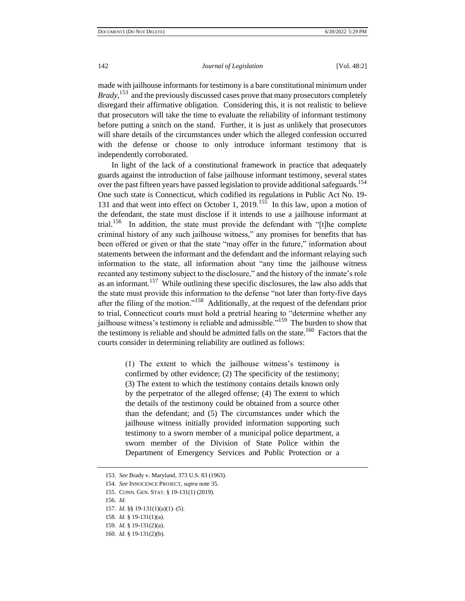made with jailhouse informants for testimony is a bare constitutional minimum under *Brady*,<sup>153</sup> and the previously discussed cases prove that many prosecutors completely disregard their affirmative obligation. Considering this, it is not realistic to believe that prosecutors will take the time to evaluate the reliability of informant testimony before putting a snitch on the stand. Further, it is just as unlikely that prosecutors will share details of the circumstances under which the alleged confession occurred with the defense or choose to only introduce informant testimony that is independently corroborated.

In light of the lack of a constitutional framework in practice that adequately guards against the introduction of false jailhouse informant testimony, several states over the past fifteen years have passed legislation to provide additional safeguards.<sup>154</sup> One such state is Connecticut, which codified its regulations in Public Act No. 19- 131 and that went into effect on October 1, 2019.<sup>155</sup> In this law, upon a motion of the defendant, the state must disclose if it intends to use a jailhouse informant at trial.<sup>156</sup> In addition, the state must provide the defendant with "[t]he complete criminal history of any such jailhouse witness," any promises for benefits that has been offered or given or that the state "may offer in the future," information about statements between the informant and the defendant and the informant relaying such information to the state, all information about "any time the jailhouse witness recanted any testimony subject to the disclosure," and the history of the inmate's role as an informant.<sup>157</sup> While outlining these specific disclosures, the law also adds that the state must provide this information to the defense "not later than forty-five days after the filing of the motion."<sup>158</sup> Additionally, at the request of the defendant prior to trial, Connecticut courts must hold a pretrial hearing to "determine whether any jailhouse witness's testimony is reliable and admissible."<sup>159</sup> The burden to show that the testimony is reliable and should be admitted falls on the state.<sup>160</sup> Factors that the courts consider in determining reliability are outlined as follows:

> (1) The extent to which the jailhouse witness's testimony is confirmed by other evidence; (2) The specificity of the testimony; (3) The extent to which the testimony contains details known only by the perpetrator of the alleged offense; (4) The extent to which the details of the testimony could be obtained from a source other than the defendant; and (5) The circumstances under which the jailhouse witness initially provided information supporting such testimony to a sworn member of a municipal police department, a sworn member of the Division of State Police within the Department of Emergency Services and Public Protection or a

<sup>153</sup>*. See* Brady v. Maryland, 373 U.S. 83 (1963).

<sup>154</sup>*. See* INNOCENCE PROJECT, *supra* note 35.

<sup>155.</sup> CONN. GEN. STAT. § 19-131(1) (2019).

<sup>156</sup>*. Id.* 

<sup>157</sup>*. Id.* §§ 19-131(1)(a)(1)–(5).

<sup>158</sup>*. Id.* § 19-131(1)(a).

<sup>159</sup>*. Id.* § 19-131(2)(a).

<sup>160</sup>*. Id.* § 19-131(2)(b).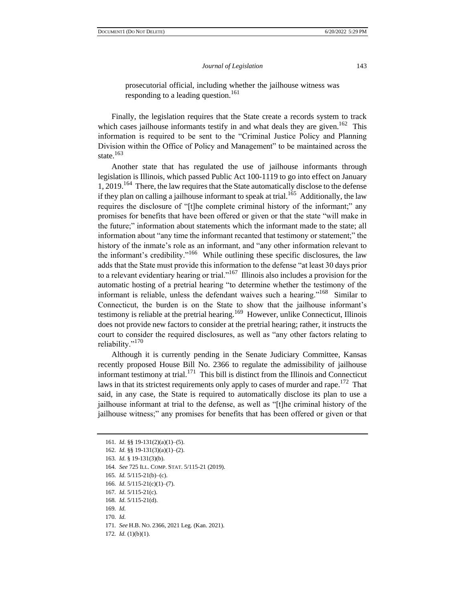prosecutorial official, including whether the jailhouse witness was responding to a leading question.<sup>161</sup>

Finally, the legislation requires that the State create a records system to track which cases jailhouse informants testify in and what deals they are given.<sup>162</sup> This information is required to be sent to the "Criminal Justice Policy and Planning Division within the Office of Policy and Management" to be maintained across the state. $163$ 

Another state that has regulated the use of jailhouse informants through legislation is Illinois, which passed Public Act 100-1119 to go into effect on January 1, 2019.<sup>164</sup> There, the law requires that the State automatically disclose to the defense if they plan on calling a jailhouse informant to speak at trial.<sup>165</sup> Additionally, the law requires the disclosure of "[t]he complete criminal history of the informant;" any promises for benefits that have been offered or given or that the state "will make in the future;" information about statements which the informant made to the state; all information about "any time the informant recanted that testimony or statement;" the history of the inmate's role as an informant, and "any other information relevant to the informant's credibility."<sup>166</sup> While outlining these specific disclosures, the law adds that the State must provide this information to the defense "at least 30 days prior to a relevant evidentiary hearing or trial."<sup>167</sup> Illinois also includes a provision for the automatic hosting of a pretrial hearing "to determine whether the testimony of the informant is reliable, unless the defendant waives such a hearing."<sup>168</sup> Similar to Connecticut, the burden is on the State to show that the jailhouse informant's testimony is reliable at the pretrial hearing.<sup>169</sup> However, unlike Connecticut, Illinois does not provide new factors to consider at the pretrial hearing; rather, it instructs the court to consider the required disclosures, as well as "any other factors relating to reliability."<sup>170</sup>

Although it is currently pending in the Senate Judiciary Committee, Kansas recently proposed House Bill No. 2366 to regulate the admissibility of jailhouse informant testimony at trial.<sup>171</sup> This bill is distinct from the Illinois and Connecticut laws in that its strictest requirements only apply to cases of murder and rape.<sup>172</sup> That said, in any case, the State is required to automatically disclose its plan to use a jailhouse informant at trial to the defense, as well as "[t]he criminal history of the jailhouse witness;" any promises for benefits that has been offered or given or that

169*. Id.*

172*. Id.* (1)(b)(1).

<sup>161</sup>*. Id.* §§ 19-131(2)(a)(1)–(5).

<sup>162</sup>*. Id.* §§ 19-131(3)(a)(1)–(2).

<sup>163</sup>*. Id.* § 19-131(3)(b).

<sup>164</sup>*. See* 725 ILL. COMP. STAT. 5/115-21 (2019).

<sup>165</sup>*. Id.* 5/115-21(b)–(c).

<sup>166</sup>*. Id.* 5/115-21(c)(1)–(7).

<sup>167</sup>*. Id.* 5/115-21(c).

<sup>168</sup>*. Id.* 5/115-21(d).

<sup>170</sup>*. Id.*

<sup>171</sup>*. See* H.B. NO. 2366, 2021 Leg. (Kan. 2021).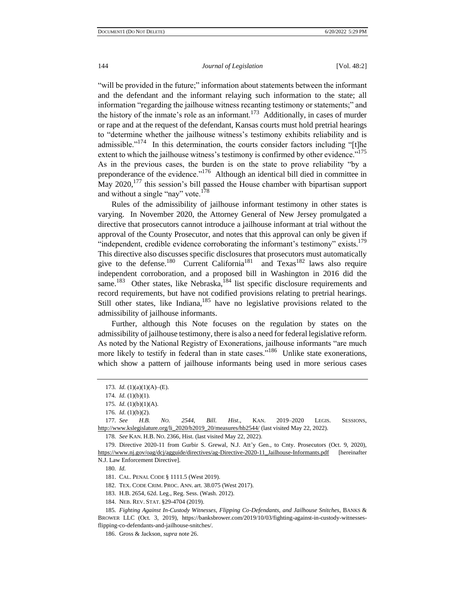"will be provided in the future;" information about statements between the informant and the defendant and the informant relaying such information to the state; all information "regarding the jailhouse witness recanting testimony or statements;" and the history of the inmate's role as an informant.<sup>173</sup> Additionally, in cases of murder or rape and at the request of the defendant, Kansas courts must hold pretrial hearings to "determine whether the jailhouse witness's testimony exhibits reliability and is admissible."<sup>174</sup> In this determination, the courts consider factors including "[t]he extent to which the jailhouse witness's testimony is confirmed by other evidence."<sup>175</sup> As in the previous cases, the burden is on the state to prove reliability "by a preponderance of the evidence."<sup>176</sup> Although an identical bill died in committee in May  $2020$ ,<sup>177</sup> this session's bill passed the House chamber with bipartisan support and without a single "nay" vote. $178$ 

Rules of the admissibility of jailhouse informant testimony in other states is varying. In November 2020, the Attorney General of New Jersey promulgated a directive that prosecutors cannot introduce a jailhouse informant at trial without the approval of the County Prosecutor, and notes that this approval can only be given if "independent, credible evidence corroborating the informant's testimony" exists.<sup>179</sup> This directive also discusses specific disclosures that prosecutors must automatically give to the defense.<sup>180</sup> Current California<sup>181</sup> and Texas<sup>182</sup> laws also require independent corroboration, and a proposed bill in Washington in 2016 did the same.<sup>183</sup> Other states, like Nebraska, $184$  list specific disclosure requirements and record requirements, but have not codified provisions relating to pretrial hearings. Still other states, like Indiana,  $185$  have no legislative provisions related to the admissibility of jailhouse informants.

Further, although this Note focuses on the regulation by states on the admissibility of jailhouse testimony, there is also a need for federal legislative reform. As noted by the National Registry of Exonerations, jailhouse informants "are much more likely to testify in federal than in state cases."<sup>186</sup> Unlike state exonerations, which show a pattern of jailhouse informants being used in more serious cases

178*. See* KAN. H.B. NO. 2366, Hist. (last visited May 22, 2022).

180*. Id.* 

182. TEX. CODE CRIM. PROC. ANN. art. 38.075 (West 2017).

<sup>173</sup>*. Id.* (1)(a)(1)(A)–(E).

<sup>174</sup>*. Id.* (1)(b)(1).

<sup>175</sup>*. Id.* (1)(b)(1)(A).

<sup>176</sup>*. Id.* (1)(b)(2).

<sup>177</sup>*. See H.B. NO. 2544, Bill. Hist*., KAN. 2019–2020 LEGIS. SESSIONS, [http://www.kslegislature.org/li\\_2020/b2019\\_20/measures/hb2544/](http://www.kslegislature.org/li_2020/b2019_20/measures/hb2544/) (last visited May 22, 2022).

<sup>179.</sup> Directive 2020-11 from Gurbir S. Grewal, N.J. Att'y Gen., to Cnty. Prosecutors (Oct. 9, 2020), [https://www.nj.gov/oag/dcj/agguide/directives/ag-Directive-2020-11\\_Jailhouse-Informants.pdf](https://www.nj.gov/oag/dcj/agguide/directives/ag-Directive-2020-11_Jailhouse-Informants.pdf) [hereinafter N.J. Law Enforcement Directive].

<sup>181.</sup> CAL. PENAL CODE § 1111.5 (West 2019).

<sup>183.</sup> H.B. 2654, 62d. Leg., Reg. Sess. (Wash. 2012).

<sup>184.</sup> NEB. REV. STAT. §29-4704 (2019).

<sup>185</sup>*. Fighting Against In-Custody Witnesses, Flipping Co-Defendants, and Jailhouse Snitches*, BANKS & BROWER LLC (Oct. 3, 2019), https://banksbrower.com/2019/10/03/fighting-against-in-custody-witnessesflipping-co-defendants-and-jailhouse-snitches/.

<sup>186.</sup> Gross & Jackson, *supra* note 26.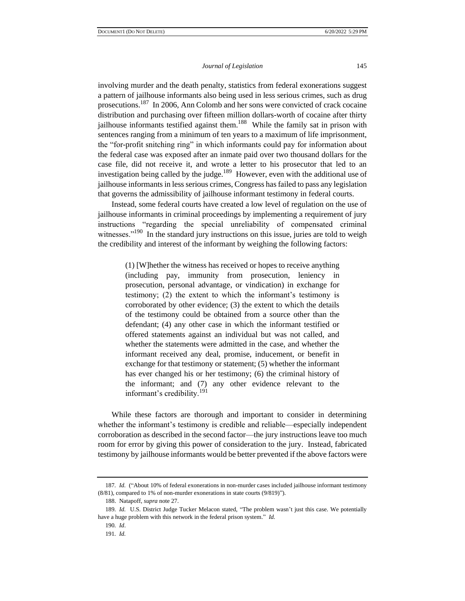involving murder and the death penalty, statistics from federal exonerations suggest a pattern of jailhouse informants also being used in less serious crimes, such as drug prosecutions.<sup>187</sup> In 2006, Ann Colomb and her sons were convicted of crack cocaine distribution and purchasing over fifteen million dollars-worth of cocaine after thirty jailhouse informants testified against them.<sup>188</sup> While the family sat in prison with sentences ranging from a minimum of ten years to a maximum of life imprisonment, the "for-profit snitching ring" in which informants could pay for information about the federal case was exposed after an inmate paid over two thousand dollars for the case file, did not receive it, and wrote a letter to his prosecutor that led to an investigation being called by the judge.<sup>189</sup> However, even with the additional use of jailhouse informants in less serious crimes, Congress has failed to pass any legislation that governs the admissibility of jailhouse informant testimony in federal courts.

Instead, some federal courts have created a low level of regulation on the use of jailhouse informants in criminal proceedings by implementing a requirement of jury instructions "regarding the special unreliability of compensated criminal witnesses."<sup>190</sup> In the standard jury instructions on this issue, juries are told to weigh the credibility and interest of the informant by weighing the following factors:

> (1) [W]hether the witness has received or hopes to receive anything (including pay, immunity from prosecution, leniency in prosecution, personal advantage, or vindication) in exchange for testimony; (2) the extent to which the informant's testimony is corroborated by other evidence; (3) the extent to which the details of the testimony could be obtained from a source other than the defendant; (4) any other case in which the informant testified or offered statements against an individual but was not called, and whether the statements were admitted in the case, and whether the informant received any deal, promise, inducement, or benefit in exchange for that testimony or statement; (5) whether the informant has ever changed his or her testimony; (6) the criminal history of the informant; and (7) any other evidence relevant to the informant's credibility.<sup>191</sup>

While these factors are thorough and important to consider in determining whether the informant's testimony is credible and reliable—especially independent corroboration as described in the second factor—the jury instructions leave too much room for error by giving this power of consideration to the jury. Instead, fabricated testimony by jailhouse informants would be better prevented if the above factors were

<sup>187</sup>*. Id.* ("About 10% of federal exonerations in non-murder cases included jailhouse informant testimony (8/81), compared to 1% of non-murder exonerations in state courts (9/819)").

<sup>188.</sup> Natapoff, *supra* note 27.

<sup>189</sup>*. Id.* U.S. District Judge Tucker Melacon stated, "The problem wasn't just this case. We potentially have a huge problem with this network in the federal prison system." *Id.* 

<sup>190</sup>*. Id*.

<sup>191</sup>*. Id.*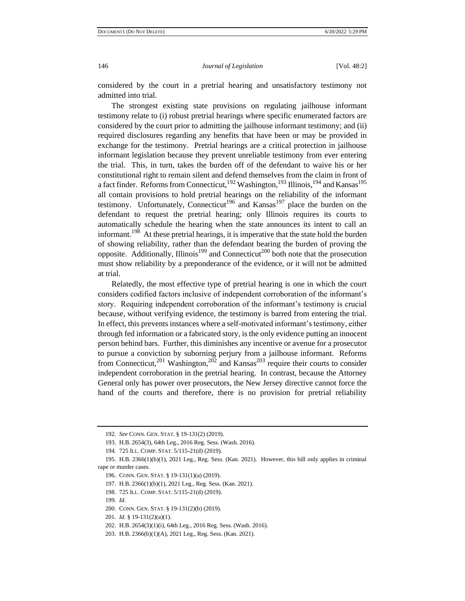considered by the court in a pretrial hearing and unsatisfactory testimony not admitted into trial.

The strongest existing state provisions on regulating jailhouse informant testimony relate to (i) robust pretrial hearings where specific enumerated factors are considered by the court prior to admitting the jailhouse informant testimony; and (ii) required disclosures regarding any benefits that have been or may be provided in exchange for the testimony. Pretrial hearings are a critical protection in jailhouse informant legislation because they prevent unreliable testimony from ever entering the trial. This, in turn, takes the burden off of the defendant to waive his or her constitutional right to remain silent and defend themselves from the claim in front of a fact finder. Reforms from Connecticut,<sup>192</sup> Washington,<sup>193</sup> Illinois,<sup>194</sup> and Kansas<sup>195</sup> all contain provisions to hold pretrial hearings on the reliability of the informant testimony. Unfortunately, Connecticut<sup>196</sup> and Kansas<sup>197</sup> place the burden on the defendant to request the pretrial hearing; only Illinois requires its courts to automatically schedule the hearing when the state announces its intent to call an informant.<sup>198</sup> At these pretrial hearings, it is imperative that the state hold the burden of showing reliability, rather than the defendant bearing the burden of proving the opposite. Additionally, Illinois<sup>199</sup> and Connecticut<sup>200</sup> both note that the prosecution must show reliability by a preponderance of the evidence, or it will not be admitted at trial.

Relatedly, the most effective type of pretrial hearing is one in which the court considers codified factors inclusive of independent corroboration of the informant's story. Requiring independent corroboration of the informant's testimony is crucial because, without verifying evidence, the testimony is barred from entering the trial. In effect, this prevents instances where a self-motivated informant's testimony, either through fed information or a fabricated story, is the only evidence putting an innocent person behind bars. Further, this diminishes any incentive or avenue for a prosecutor to pursue a conviction by suborning perjury from a jailhouse informant. Reforms from Connecticut,<sup>201</sup> Washington,<sup>202</sup> and Kansas<sup>203</sup> require their courts to consider independent corroboration in the pretrial hearing. In contrast, because the Attorney General only has power over prosecutors, the New Jersey directive cannot force the hand of the courts and therefore, there is no provision for pretrial reliability

<sup>192</sup>*. See* CONN. GEN. STAT. § 19-131(2) (2019).

<sup>193.</sup> H.B. 2654(3), 64th Leg., 2016 Reg. Sess. (Wash. 2016).

<sup>194.</sup> 725 ILL. COMP. STAT. 5/115-21(d) (2019).

<sup>195.</sup> H.B. 2366(1)(b)(1), 2021 Leg., Reg. Sess. (Kan. 2021). However, this bill only applies in criminal rape or murder cases.

<sup>196.</sup> CONN. GEN. STAT. § 19-131(1)(a) (2019).

<sup>197.</sup> H.B. 2366(1)(b)(1), 2021 Leg., Reg. Sess. (Kan. 2021).

<sup>198.</sup> 725 ILL. COMP. STAT. 5/115-21(d) (2019).

<sup>199</sup>*. Id.* 

<sup>200.</sup> CONN. GEN. STAT. § 19-131(2)(b) (2019).

<sup>201</sup>*. Id.* § 19-131(2)(a)(1).

<sup>202.</sup> H.B. 2654(3)(1)(i), 64th Leg., 2016 Reg. Sess. (Wash. 2016).

<sup>203.</sup> H.B. 2366(b)(1)(A), 2021 Leg., Reg. Sess. (Kan. 2021).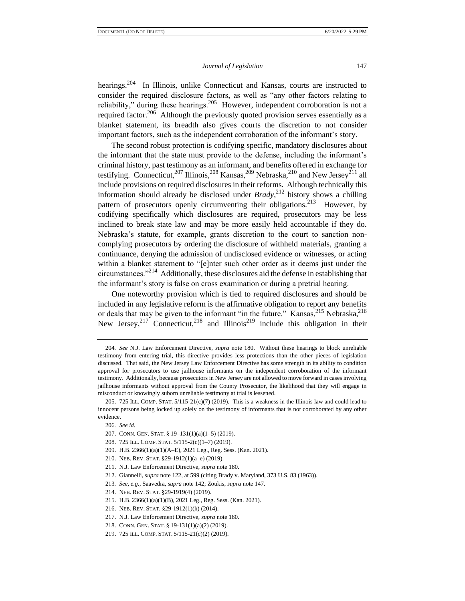hearings.<sup>204</sup> In Illinois, unlike Connecticut and Kansas, courts are instructed to consider the required disclosure factors, as well as "any other factors relating to reliability," during these hearings.<sup>205</sup> However, independent corroboration is not a required factor.<sup>206</sup> Although the previously quoted provision serves essentially as a blanket statement, its breadth also gives courts the discretion to not consider important factors, such as the independent corroboration of the informant's story.

The second robust protection is codifying specific, mandatory disclosures about the informant that the state must provide to the defense, including the informant's criminal history, past testimony as an informant, and benefits offered in exchange for testifying. Connecticut,  $207$  Illinois,  $208$  Kansas,  $209$  Nebraska,  $210$  and New Jersey $211$  all include provisions on required disclosures in their reforms. Although technically this information should already be disclosed under *Brady*, <sup>212</sup> history shows a chilling pattern of prosecutors openly circumventing their obligations.<sup>213</sup> However, by codifying specifically which disclosures are required, prosecutors may be less inclined to break state law and may be more easily held accountable if they do. Nebraska's statute, for example, grants discretion to the court to sanction noncomplying prosecutors by ordering the disclosure of withheld materials, granting a continuance, denying the admission of undisclosed evidence or witnesses, or acting within a blanket statement to "[e]nter such other order as it deems just under the circumstances."<sup>214</sup> Additionally, these disclosures aid the defense in establishing that the informant's story is false on cross examination or during a pretrial hearing.

One noteworthy provision which is tied to required disclosures and should be included in any legislative reform is the affirmative obligation to report any benefits or deals that may be given to the informant "in the future." Kansas, <sup>215</sup> Nebraska,<sup>216</sup> New Jersey,<sup>217</sup> Connecticut,<sup>218</sup> and Illinois<sup>219</sup> include this obligation in their

- 209. H.B. 2366(1)(a)(1)(A–E), 2021 Leg., Reg. Sess. (Kan. 2021).
- 210. NEB. REV. STAT. §29-1912(1)(a–e) (2019).
- 211. N.J. Law Enforcement Directive, *supra* note 180.
- 212. Giannelli, *supra* note 122, at 599 (citing Brady v. Maryland, 373 U.S. 83 (1963)).
- 213*. See, e.g.,* Saavedra, *supra* note 142; Zoukis, *supra* note 147.
- 214. NEB. REV. STAT. §29-1919(4) (2019).
- 215. H.B. 2366(1)(a)(1)(B), 2021 Leg., Reg. Sess. (Kan. 2021).
- 216. NEB. REV. STAT. §29-1912(1)(h) (2014).
- 217. N.J. Law Enforcement Directive, *supra* note 180.
- 218. CONN. GEN. STAT. § 19-131(1)(a)(2) (2019).
- 219. 725 ILL. COMP. STAT. 5/115-21(c)(2) (2019).

<sup>204</sup>*. See* N.J. Law Enforcement Directive, *supra* note 180. Without these hearings to block unreliable testimony from entering trial, this directive provides less protections than the other pieces of legislation discussed. That said, the New Jersey Law Enforcement Directive has some strength in its ability to condition approval for prosecutors to use jailhouse informants on the independent corroboration of the informant testimony. Additionally, because prosecutors in New Jersey are not allowed to move forward in cases involving jailhouse informants without approval from the County Prosecutor, the likelihood that they will engage in misconduct or knowingly suborn unreliable testimony at trial is lessened.

<sup>205. 725</sup> ILL. COMP. STAT.  $5/115-21(c)(7)$  (2019). This is a weakness in the Illinois law and could lead to innocent persons being locked up solely on the testimony of informants that is not corroborated by any other evidence.

<sup>206</sup>*. See id.* 

<sup>207.</sup> CONN. GEN. STAT. § 19–131(1)(a)(1–5) (2019).

<sup>208.</sup> 725 ILL. COMP. STAT. 5/115-2(c)(1–7) (2019).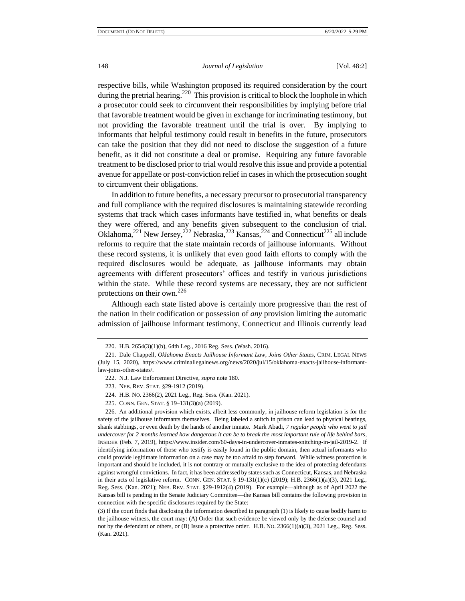respective bills, while Washington proposed its required consideration by the court during the pretrial hearing.<sup>220</sup> This provision is critical to block the loophole in which a prosecutor could seek to circumvent their responsibilities by implying before trial that favorable treatment would be given in exchange for incriminating testimony, but not providing the favorable treatment until the trial is over. By implying to informants that helpful testimony could result in benefits in the future, prosecutors can take the position that they did not need to disclose the suggestion of a future benefit, as it did not constitute a deal or promise. Requiring any future favorable treatment to be disclosed prior to trial would resolve this issue and provide a potential avenue for appellate or post-conviction relief in cases in which the prosecution sought to circumvent their obligations.

In addition to future benefits, a necessary precursor to prosecutorial transparency and full compliance with the required disclosures is maintaining statewide recording systems that track which cases informants have testified in, what benefits or deals they were offered, and any benefits given subsequent to the conclusion of trial. Oklahoma,<sup>221</sup> New Jersey,<sup>222</sup> Nebraska,<sup>223</sup> Kansas,<sup>224</sup> and Connecticut<sup>225</sup> all include reforms to require that the state maintain records of jailhouse informants. Without these record systems, it is unlikely that even good faith efforts to comply with the required disclosures would be adequate, as jailhouse informants may obtain agreements with different prosecutors' offices and testify in various jurisdictions within the state. While these record systems are necessary, they are not sufficient protections on their own.<sup>226</sup>

Although each state listed above is certainly more progressive than the rest of the nation in their codification or possession of *any* provision limiting the automatic admission of jailhouse informant testimony, Connecticut and Illinois currently lead

225. CONN. GEN. STAT. § 19–131(3)(a) (2019).

<sup>220.</sup> H.B. 2654(3)(1)(b), 64th Leg., 2016 Reg. Sess. (Wash. 2016).

<sup>221.</sup> Dale Chappell, *Oklahoma Enacts Jailhouse Informant Law, Joins Other States,* CRIM. LEGAL NEWS (July 15, 2020), https://www.criminallegalnews.org/news/2020/jul/15/oklahoma-enacts-jailhouse-informantlaw-joins-other-states/.

<sup>222.</sup> N.J. Law Enforcement Directive, *supra* note 180.

<sup>223.</sup> NEB. REV. STAT. §29-1912 (2019).

<sup>224.</sup> H.B. NO. 2366(2), 2021 Leg., Reg. Sess. (Kan. 2021).

<sup>226.</sup> An additional provision which exists, albeit less commonly, in jailhouse reform legislation is for the safety of the jailhouse informants themselves. Being labeled a snitch in prison can lead to physical beatings, shank stabbings, or even death by the hands of another inmate. Mark Abadi, *7 regular people who went to jail undercover for 2 months learned how dangerous it can be to break the most important rule of life behind bars*, INSIDER (Feb. 7, 2019), https://www.insider.com/60-days-in-undercover-inmates-snitching-in-jail-2019-2. If identifying information of those who testify is easily found in the public domain, then actual informants who could provide legitimate information on a case may be too afraid to step forward. While witness protection is important and should be included, it is not contrary or mutually exclusive to the idea of protecting defendants against wrongful convictions. In fact, it has been addressed by states such as Connecticut, Kansas, and Nebraska in their acts of legislative reform. CONN. GEN. STAT. § 19-131(1)(c) (2019); H.B. 2366(1)(a)(3), 2021 Leg., Reg. Sess. (Kan. 2021); NEB. REV. STAT. §29-1912(4) (2019). For example—although as of April 2022 the Kansas bill is pending in the Senate Judiciary Committee—the Kansas bill contains the following provision in connection with the specific disclosures required by the State:

<sup>(3)</sup> If the court finds that disclosing the information described in paragraph (1) is likely to cause bodily harm to the jailhouse witness, the court may: (A) Order that such evidence be viewed only by the defense counsel and not by the defendant or others, or (B) Issue a protective order. H.B. NO. 2366(1)(a)(3), 2021 Leg., Reg. Sess. (Kan. 2021).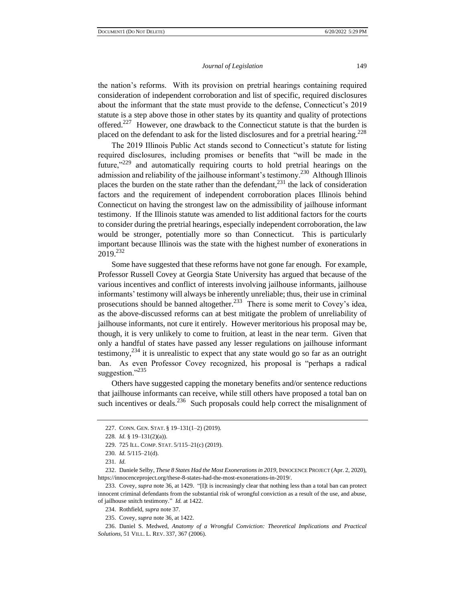the nation's reforms. With its provision on pretrial hearings containing required consideration of independent corroboration and list of specific, required disclosures about the informant that the state must provide to the defense, Connecticut's 2019 statute is a step above those in other states by its quantity and quality of protections offered.<sup>227</sup> However, one drawback to the Connecticut statute is that the burden is placed on the defendant to ask for the listed disclosures and for a pretrial hearing.<sup>228</sup>

The 2019 Illinois Public Act stands second to Connecticut's statute for listing required disclosures, including promises or benefits that "will be made in the future,"<sup>229</sup> and automatically requiring courts to hold pretrial hearings on the admission and reliability of the jailhouse informant's testimony.<sup>230</sup> Although Illinois places the burden on the state rather than the defendant, $^{231}$  the lack of consideration factors and the requirement of independent corroboration places Illinois behind Connecticut on having the strongest law on the admissibility of jailhouse informant testimony. If the Illinois statute was amended to list additional factors for the courts to consider during the pretrial hearings, especially independent corroboration, the law would be stronger, potentially more so than Connecticut. This is particularly important because Illinois was the state with the highest number of exonerations in  $2019.<sup>232</sup>$ 

Some have suggested that these reforms have not gone far enough. For example, Professor Russell Covey at Georgia State University has argued that because of the various incentives and conflict of interests involving jailhouse informants, jailhouse informants' testimony will always be inherently unreliable; thus, their use in criminal prosecutions should be banned altogether.<sup>233</sup> There is some merit to Covey's idea, as the above-discussed reforms can at best mitigate the problem of unreliability of jailhouse informants, not cure it entirely. However meritorious his proposal may be, though, it is very unlikely to come to fruition, at least in the near term. Given that only a handful of states have passed any lesser regulations on jailhouse informant testimony,  $234$  it is unrealistic to expect that any state would go so far as an outright ban. As even Professor Covey recognized, his proposal is "perhaps a radical suggestion."<sup>235</sup>

Others have suggested capping the monetary benefits and/or sentence reductions that jailhouse informants can receive, while still others have proposed a total ban on such incentives or deals. $^{236}$  Such proposals could help correct the misalignment of

<sup>227.</sup> CONN. GEN. STAT. § 19–131(1–2) (2019).

<sup>228</sup>*. Id.* § 19–131(2)(a)).

<sup>229.</sup> 725 ILL. COMP. STAT. 5/115–21(c) (2019).

<sup>230</sup>*. Id.* 5/115–21(d).

<sup>231</sup>*. Id.*

<sup>232.</sup> Daniele Selby, *These 8 States Had the Most Exonerations in 2019*, INNOCENCE PROJECT (Apr. 2, 2020), https://innocenceproject.org/these-8-states-had-the-most-exonerations-in-2019/.

<sup>233.</sup> Covey, *supra* note 36, at 1429. "[I]t is increasingly clear that nothing less than a total ban can protect innocent criminal defendants from the substantial risk of wrongful conviction as a result of the use, and abuse, of jailhouse snitch testimony." *Id.* at 1422.

<sup>234.</sup> Rothfield, *supra* note 37.

<sup>235.</sup> Covey, *supra* note 36, at 1422.

<sup>236.</sup> Daniel S. Medwed, *Anatomy of a Wrongful Conviction: Theoretical Implications and Practical Solutions*, 51 VILL. L. REV. 337, 367 (2006).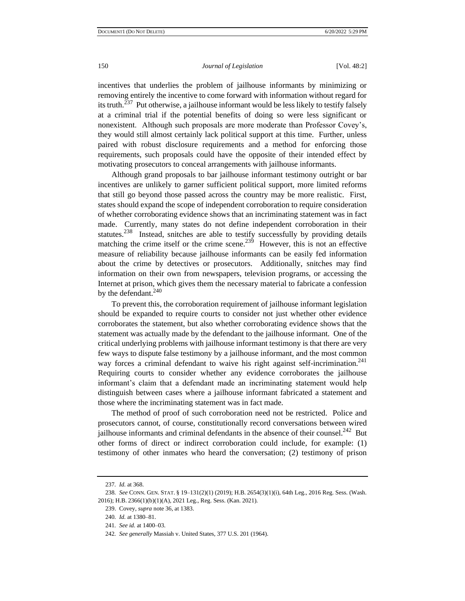incentives that underlies the problem of jailhouse informants by minimizing or removing entirely the incentive to come forward with information without regard for its truth.<sup>237</sup> Put otherwise, a jailhouse informant would be less likely to testify falsely at a criminal trial if the potential benefits of doing so were less significant or nonexistent. Although such proposals are more moderate than Professor Covey's, they would still almost certainly lack political support at this time. Further, unless paired with robust disclosure requirements and a method for enforcing those requirements, such proposals could have the opposite of their intended effect by motivating prosecutors to conceal arrangements with jailhouse informants.

Although grand proposals to bar jailhouse informant testimony outright or bar incentives are unlikely to garner sufficient political support, more limited reforms that still go beyond those passed across the country may be more realistic. First, states should expand the scope of independent corroboration to require consideration of whether corroborating evidence shows that an incriminating statement was in fact made. Currently, many states do not define independent corroboration in their statutes.<sup>238</sup> Instead, snitches are able to testify successfully by providing details matching the crime itself or the crime scene.<sup>239</sup> However, this is not an effective measure of reliability because jailhouse informants can be easily fed information about the crime by detectives or prosecutors. Additionally, snitches may find information on their own from newspapers, television programs, or accessing the Internet at prison, which gives them the necessary material to fabricate a confession by the defendant. $240$ 

To prevent this, the corroboration requirement of jailhouse informant legislation should be expanded to require courts to consider not just whether other evidence corroborates the statement, but also whether corroborating evidence shows that the statement was actually made by the defendant to the jailhouse informant. One of the critical underlying problems with jailhouse informant testimony is that there are very few ways to dispute false testimony by a jailhouse informant, and the most common way forces a criminal defendant to waive his right against self-incrimination.<sup>241</sup> Requiring courts to consider whether any evidence corroborates the jailhouse informant's claim that a defendant made an incriminating statement would help distinguish between cases where a jailhouse informant fabricated a statement and those where the incriminating statement was in fact made.

The method of proof of such corroboration need not be restricted. Police and prosecutors cannot, of course, constitutionally record conversations between wired jailhouse informants and criminal defendants in the absence of their counsel.<sup>242</sup> But other forms of direct or indirect corroboration could include, for example: (1) testimony of other inmates who heard the conversation; (2) testimony of prison

<sup>237</sup>*. Id.* at 368.

<sup>238</sup>*. See* CONN. GEN. STAT. § 19–131(2)(1) (2019); H.B. 2654(3)(1)(i), 64th Leg., 2016 Reg. Sess. (Wash. 2016); H.B. 2366(1)(b)(1)(A), 2021 Leg., Reg. Sess. (Kan. 2021).

<sup>239.</sup> Covey, *supra* note 36, at 1383.

<sup>240</sup>*. Id.* at 1380–81.

<sup>241</sup>*. See id.* at 1400–03.

<sup>242</sup>*. See generally* Massiah v. United States, 377 U.S. 201 (1964).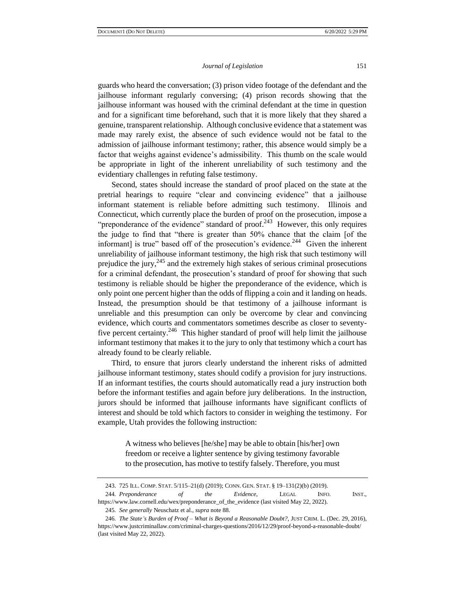guards who heard the conversation; (3) prison video footage of the defendant and the jailhouse informant regularly conversing; (4) prison records showing that the jailhouse informant was housed with the criminal defendant at the time in question and for a significant time beforehand, such that it is more likely that they shared a genuine, transparent relationship. Although conclusive evidence that a statement was made may rarely exist, the absence of such evidence would not be fatal to the admission of jailhouse informant testimony; rather, this absence would simply be a factor that weighs against evidence's admissibility. This thumb on the scale would be appropriate in light of the inherent unreliability of such testimony and the evidentiary challenges in refuting false testimony.

Second, states should increase the standard of proof placed on the state at the pretrial hearings to require "clear and convincing evidence" that a jailhouse informant statement is reliable before admitting such testimony. Illinois and Connecticut, which currently place the burden of proof on the prosecution, impose a "preponderance of the evidence" standard of proof.<sup>243</sup> However, this only requires the judge to find that "there is greater than 50% chance that the claim [of the informant] is true" based off of the prosecution's evidence.<sup>244</sup> Given the inherent unreliability of jailhouse informant testimony, the high risk that such testimony will prejudice the jury, $245$  and the extremely high stakes of serious criminal prosecutions for a criminal defendant, the prosecution's standard of proof for showing that such testimony is reliable should be higher the preponderance of the evidence, which is only point one percent higher than the odds of flipping a coin and it landing on heads. Instead, the presumption should be that testimony of a jailhouse informant is unreliable and this presumption can only be overcome by clear and convincing evidence, which courts and commentators sometimes describe as closer to seventyfive percent certainty. $246$  This higher standard of proof will help limit the jailhouse informant testimony that makes it to the jury to only that testimony which a court has already found to be clearly reliable.

Third, to ensure that jurors clearly understand the inherent risks of admitted jailhouse informant testimony, states should codify a provision for jury instructions. If an informant testifies, the courts should automatically read a jury instruction both before the informant testifies and again before jury deliberations. In the instruction, jurors should be informed that jailhouse informants have significant conflicts of interest and should be told which factors to consider in weighing the testimony. For example, Utah provides the following instruction:

> A witness who believes [he/she] may be able to obtain [his/her] own freedom or receive a lighter sentence by giving testimony favorable to the prosecution, has motive to testify falsely. Therefore, you must

244*. Preponderance of the Evidence*, LEGAL INFO. INST.,

https://www.law.cornell.edu/wex/preponderance\_of\_the\_evidence (last visited May 22, 2022). 245*. See generally* Neuschatz et al., *supra* note 88.

<sup>243.</sup> 725 ILL. COMP. STAT. 5/115–21(d) (2019); CONN. GEN. STAT. § 19–131(2)(b) (2019).

<sup>246</sup>*. The State's Burden of Proof – What is Beyond a Reasonable Doubt?*, JUST CRIM. L. (Dec. 29, 2016), https://www.justcriminallaw.com/criminal-charges-questions/2016/12/29/proof-beyond-a-reasonable-doubt/ (last visited May 22, 2022).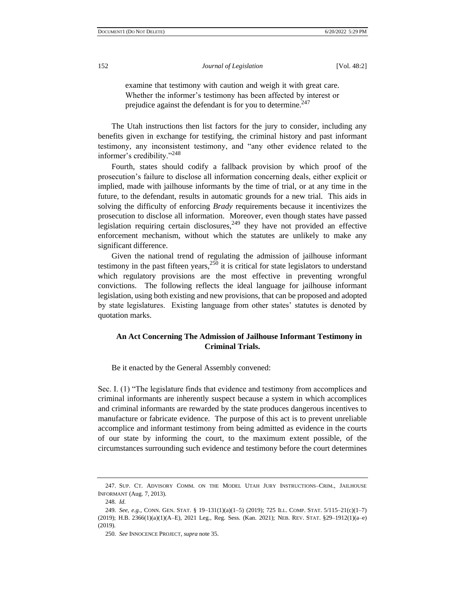examine that testimony with caution and weigh it with great care. Whether the informer's testimony has been affected by interest or prejudice against the defendant is for you to determine.<sup>247</sup>

The Utah instructions then list factors for the jury to consider, including any benefits given in exchange for testifying, the criminal history and past informant testimony, any inconsistent testimony, and "any other evidence related to the informer's credibility."<sup>248</sup>

Fourth, states should codify a fallback provision by which proof of the prosecution's failure to disclose all information concerning deals, either explicit or implied, made with jailhouse informants by the time of trial, or at any time in the future, to the defendant, results in automatic grounds for a new trial. This aids in solving the difficulty of enforcing *Brady* requirements because it incentivizes the prosecution to disclose all information. Moreover, even though states have passed legislation requiring certain disclosures,  $249$  they have not provided an effective enforcement mechanism, without which the statutes are unlikely to make any significant difference.

Given the national trend of regulating the admission of jailhouse informant testimony in the past fifteen years,  $250$  it is critical for state legislators to understand which regulatory provisions are the most effective in preventing wrongful convictions. The following reflects the ideal language for jailhouse informant legislation, using both existing and new provisions, that can be proposed and adopted by state legislatures. Existing language from other states' statutes is denoted by quotation marks.

## **An Act Concerning The Admission of Jailhouse Informant Testimony in Criminal Trials.**

Be it enacted by the General Assembly convened:

Sec. I. (1) "The legislature finds that evidence and testimony from accomplices and criminal informants are inherently suspect because a system in which accomplices and criminal informants are rewarded by the state produces dangerous incentives to manufacture or fabricate evidence. The purpose of this act is to prevent unreliable accomplice and informant testimony from being admitted as evidence in the courts of our state by informing the court, to the maximum extent possible, of the circumstances surrounding such evidence and testimony before the court determines

<sup>247.</sup> SUP. CT. ADVISORY COMM. ON THE MODEL UTAH JURY INSTRUCTIONS–CRIM., JAILHOUSE INFORMANT (Aug. 7, 2013).

<sup>248</sup>*. Id.*

<sup>249</sup>*. See, e.g.*, CONN. GEN. STAT. § 19–131(1)(a)(1–5) (2019); 725 ILL. COMP. STAT. 5/115–21(c)(1–7) (2019); H.B. 2366(1)(a)(1)(A–E), 2021 Leg., Reg. Sess. (Kan. 2021); NEB. REV. STAT. §29–1912(1)(a–e) (2019).

<sup>250</sup>*. See* INNOCENCE PROJECT, *supra* note 35.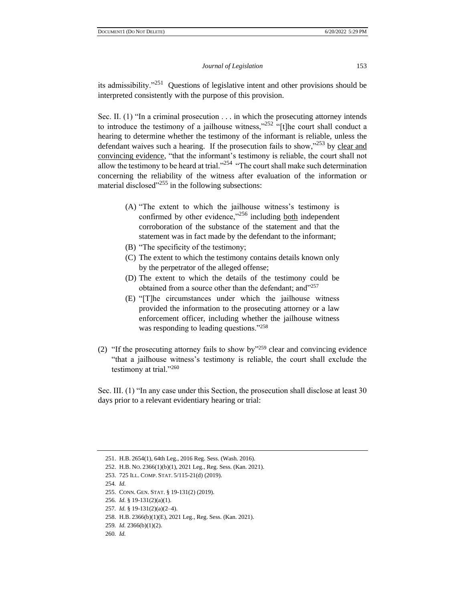its admissibility."<sup>251</sup> Questions of legislative intent and other provisions should be interpreted consistently with the purpose of this provision.

Sec. II. (1) "In a criminal prosecution . . . in which the prosecuting attorney intends to introduce the testimony of a jailhouse witness," $252$  "[t]he court shall conduct a hearing to determine whether the testimony of the informant is reliable, unless the defendant waives such a hearing. If the prosecution fails to show,"<sup>253</sup> by clear and convincing evidence, "that the informant's testimony is reliable, the court shall not allow the testimony to be heard at trial. $^{3254}$  "The court shall make such determination concerning the reliability of the witness after evaluation of the information or material disclosed $^{3255}$  in the following subsections:

- (A) "The extent to which the jailhouse witness's testimony is confirmed by other evidence,"<sup>256</sup> including both independent corroboration of the substance of the statement and that the statement was in fact made by the defendant to the informant;
- (B) "The specificity of the testimony;
- (C) The extent to which the testimony contains details known only by the perpetrator of the alleged offense;
- (D) The extent to which the details of the testimony could be obtained from a source other than the defendant; and"<sup>257</sup>
- (E) "[T]he circumstances under which the jailhouse witness provided the information to the prosecuting attorney or a law enforcement officer, including whether the jailhouse witness was responding to leading questions."<sup>258</sup>
- (2) "If the prosecuting attorney fails to show by"<sup>259</sup> clear and convincing evidence "that a jailhouse witness's testimony is reliable, the court shall exclude the testimony at trial."<sup>260</sup>

Sec. III. (1) "In any case under this Section, the prosecution shall disclose at least 30 days prior to a relevant evidentiary hearing or trial:

<sup>251.</sup> H.B. 2654(1), 64th Leg., 2016 Reg. Sess. (Wash. 2016).

<sup>252.</sup> H.B. NO. 2366(1)(b)(1), 2021 Leg., Reg. Sess. (Kan. 2021).

<sup>253.</sup> 725 ILL. COMP. STAT. 5/115-21(d) (2019).

<sup>254</sup>*. Id.*

<sup>255.</sup> CONN. GEN. STAT. § 19-131(2) (2019).

<sup>256</sup>*. Id.* § 19-131(2)(a)(1).

<sup>257</sup>*. Id.* § 19-131(2)(a)(2–4).

<sup>258.</sup> H.B. 2366(b)(1)(E), 2021 Leg., Reg. Sess. (Kan. 2021).

<sup>259</sup>*. Id.* 2366(b)(1)(2).

<sup>260</sup>*. Id.*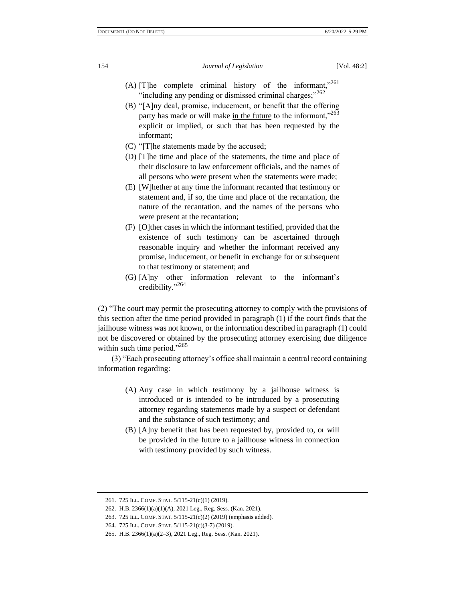- (A) [T]he complete criminal history of the informant,"261 "including any pending or dismissed criminal charges;"<sup>262</sup>
- (B) "[A]ny deal, promise, inducement, or benefit that the offering party has made or will make in the future to the informant."<sup>263</sup> explicit or implied, or such that has been requested by the informant;
- (C) "[T]he statements made by the accused;
- (D) [T]he time and place of the statements, the time and place of their disclosure to law enforcement officials, and the names of all persons who were present when the statements were made;
- (E) [W]hether at any time the informant recanted that testimony or statement and, if so, the time and place of the recantation, the nature of the recantation, and the names of the persons who were present at the recantation;
- (F) [O]ther cases in which the informant testified, provided that the existence of such testimony can be ascertained through reasonable inquiry and whether the informant received any promise, inducement, or benefit in exchange for or subsequent to that testimony or statement; and
- (G) [A]ny other information relevant to the informant's credibility."<sup>264</sup>

(2) "The court may permit the prosecuting attorney to comply with the provisions of this section after the time period provided in paragraph (1) if the court finds that the jailhouse witness was not known, or the information described in paragraph (1) could not be discovered or obtained by the prosecuting attorney exercising due diligence within such time period."<sup>265</sup>

(3) "Each prosecuting attorney's office shall maintain a central record containing information regarding:

- (A) Any case in which testimony by a jailhouse witness is introduced or is intended to be introduced by a prosecuting attorney regarding statements made by a suspect or defendant and the substance of such testimony; and
- (B) [A]ny benefit that has been requested by, provided to, or will be provided in the future to a jailhouse witness in connection with testimony provided by such witness.

<sup>261.</sup> 725 ILL. COMP. STAT. 5/115-21(c)(1) (2019).

<sup>262.</sup> H.B. 2366(1)(a)(1)(A), 2021 Leg., Reg. Sess. (Kan. 2021).

<sup>263.</sup> 725 ILL. COMP. STAT. 5/115-21(c)(2) (2019) (emphasis added).

<sup>264.</sup> 725 ILL. COMP. STAT. 5/115-21(c)(3-7) (2019).

<sup>265.</sup> H.B. 2366(1)(a)(2–3), 2021 Leg., Reg. Sess. (Kan. 2021).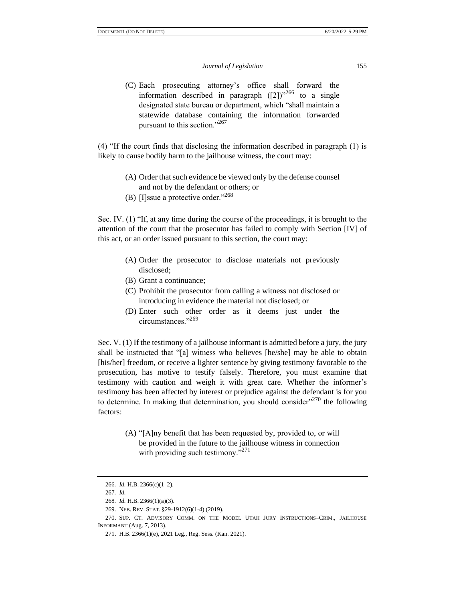(C) Each prosecuting attorney's office shall forward the information described in paragraph  $([2])^{266}$  to a single designated state bureau or department, which "shall maintain a statewide database containing the information forwarded pursuant to this section."<sup>267</sup>

(4) "If the court finds that disclosing the information described in paragraph (1) is likely to cause bodily harm to the jailhouse witness, the court may:

- (A) Order that such evidence be viewed only by the defense counsel and not by the defendant or others; or
- (B) [I]ssue a protective order."<sup>268</sup>

Sec. IV. (1) "If, at any time during the course of the proceedings, it is brought to the attention of the court that the prosecutor has failed to comply with Section [IV] of this act, or an order issued pursuant to this section, the court may:

- (A) Order the prosecutor to disclose materials not previously disclosed;
- (B) Grant a continuance;
- (C) Prohibit the prosecutor from calling a witness not disclosed or introducing in evidence the material not disclosed; or
- (D) Enter such other order as it deems just under the circumstances."<sup>269</sup>

Sec. V. (1) If the testimony of a jailhouse informant is admitted before a jury, the jury shall be instructed that "[a] witness who believes [he/she] may be able to obtain [his/her] freedom, or receive a lighter sentence by giving testimony favorable to the prosecution, has motive to testify falsely. Therefore, you must examine that testimony with caution and weigh it with great care. Whether the informer's testimony has been affected by interest or prejudice against the defendant is for you to determine. In making that determination, you should consider"<sup>270</sup> the following factors:

> (A) "[A]ny benefit that has been requested by, provided to, or will be provided in the future to the jailhouse witness in connection with providing such testimony."<sup>271</sup>

<sup>266</sup>*. Id.* H.B. 2366(c)(1–2).

<sup>267</sup>*. Id.*

<sup>268</sup>*. Id.* H.B. 2366(1)(a)(3).

<sup>269.</sup> NEB. REV. STAT. §29-1912(6)(1-4) (2019).

<sup>270.</sup> SUP. CT. ADVISORY COMM. ON THE MODEL UTAH JURY INSTRUCTIONS–CRIM., JAILHOUSE INFORMANT (Aug. 7, 2013).

<sup>271.</sup> H.B. 2366(1)(e), 2021 Leg., Reg. Sess. (Kan. 2021).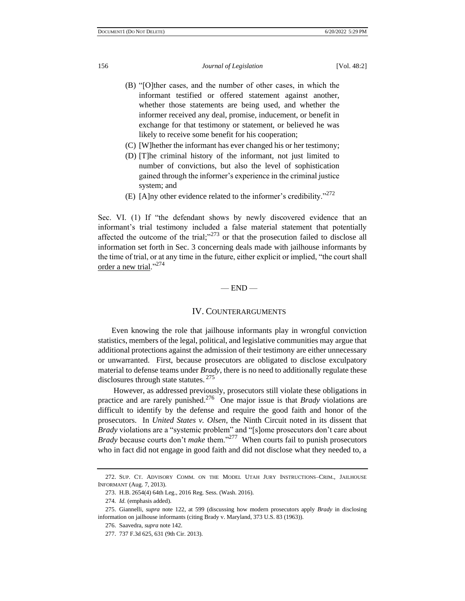- (B) "[O]ther cases, and the number of other cases, in which the informant testified or offered statement against another, whether those statements are being used, and whether the informer received any deal, promise, inducement, or benefit in exchange for that testimony or statement, or believed he was likely to receive some benefit for his cooperation;
- (C) [W]hether the informant has ever changed his or her testimony;
- (D) [T]he criminal history of the informant, not just limited to number of convictions, but also the level of sophistication gained through the informer's experience in the criminal justice system; and
- (E) [A]ny other evidence related to the informer's credibility." $272$

Sec. VI. (1) If "the defendant shows by newly discovered evidence that an informant's trial testimony included a false material statement that potentially affected the outcome of the trial; $^{3273}$  or that the prosecution failed to disclose all information set forth in Sec. 3 concerning deals made with jailhouse informants by the time of trial, or at any time in the future, either explicit or implied, "the court shall order a new trial."<sup>274</sup>

#### $-$  END  $-$

## IV. COUNTERARGUMENTS

Even knowing the role that jailhouse informants play in wrongful conviction statistics, members of the legal, political, and legislative communities may argue that additional protections against the admission of their testimony are either unnecessary or unwarranted. First, because prosecutors are obligated to disclose exculpatory material to defense teams under *Brady*, there is no need to additionally regulate these disclosures through state statutes. <sup>275</sup>

However, as addressed previously, prosecutors still violate these obligations in practice and are rarely punished.<sup>276</sup> One major issue is that *Brady* violations are difficult to identify by the defense and require the good faith and honor of the prosecutors. In *United States v. Olsen*, the Ninth Circuit noted in its dissent that *Brady* violations are a "systemic problem" and "[s]ome prosecutors don't care about *Brady* because courts don't *make* them."<sup>277</sup> When courts fail to punish prosecutors who in fact did not engage in good faith and did not disclose what they needed to, a

<sup>272.</sup> SUP. CT. ADVISORY COMM. ON THE MODEL UTAH JURY INSTRUCTIONS–CRIM., JAILHOUSE INFORMANT (Aug. 7, 2013).

<sup>273.</sup> H.B. 2654(4) 64th Leg., 2016 Reg. Sess. (Wash. 2016).

<sup>274</sup>*. Id.* (emphasis added).

<sup>275.</sup> Giannelli, *supra* note 122, at 599 (discussing how modern prosecutors apply *Brady* in disclosing information on jailhouse informants (citing Brady v. Maryland, 373 U.S. 83 (1963)).

<sup>276.</sup> Saavedra, *supra* note 142.

<sup>277.</sup> 737 F.3d 625, 631 (9th Cir. 2013).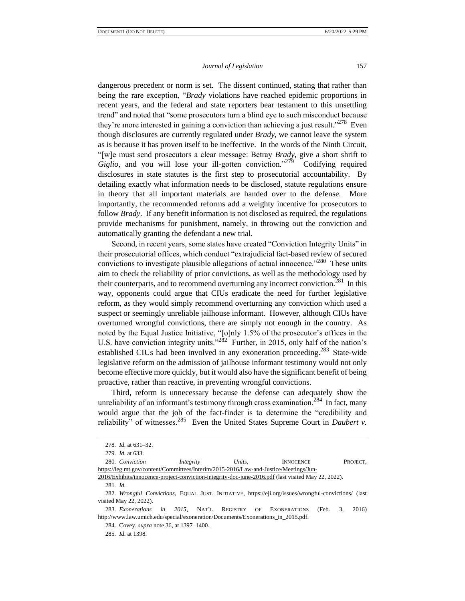dangerous precedent or norm is set. The dissent continued, stating that rather than being the rare exception, "*Brady* violations have reached epidemic proportions in recent years, and the federal and state reporters bear testament to this unsettling trend" and noted that "some prosecutors turn a blind eye to such misconduct because they're more interested in gaining a conviction than achieving a just result."<sup>278</sup> Even though disclosures are currently regulated under *Brady*, we cannot leave the system as is because it has proven itself to be ineffective. In the words of the Ninth Circuit, "[w]e must send prosecutors a clear message: Betray *Brady*, give a short shrift to Giglio, and you will lose your ill-gotten conviction."<sup>279</sup> Codifying required disclosures in state statutes is the first step to prosecutorial accountability. By detailing exactly what information needs to be disclosed, statute regulations ensure in theory that all important materials are handed over to the defense. More importantly, the recommended reforms add a weighty incentive for prosecutors to follow *Brady*. If any benefit information is not disclosed as required, the regulations provide mechanisms for punishment, namely, in throwing out the conviction and automatically granting the defendant a new trial.

Second, in recent years, some states have created "Conviction Integrity Units" in their prosecutorial offices, which conduct "extrajudicial fact-based review of secured convictions to investigate plausible allegations of actual innocence."<sup>280</sup> These units aim to check the reliability of prior convictions, as well as the methodology used by their counterparts, and to recommend overturning any incorrect conviction.<sup>281</sup> In this way, opponents could argue that CIUs eradicate the need for further legislative reform, as they would simply recommend overturning any conviction which used a suspect or seemingly unreliable jailhouse informant. However, although CIUs have overturned wrongful convictions, there are simply not enough in the country. As noted by the Equal Justice Initiative, "[o]nly 1.5% of the prosecutor's offices in the U.S. have conviction integrity units."<sup>282</sup> Further, in 2015, only half of the nation's established CIUs had been involved in any exoneration proceeding.<sup>283</sup> State-wide legislative reform on the admission of jailhouse informant testimony would not only become effective more quickly, but it would also have the significant benefit of being proactive, rather than reactive, in preventing wrongful convictions.

Third, reform is unnecessary because the defense can adequately show the unreliability of an informant's testimony through cross examination.<sup>284</sup> In fact, many would argue that the job of the fact-finder is to determine the "credibility and reliability" of witnesses.<sup>285</sup> Even the United States Supreme Court in *Daubert v*.

281*. Id.*

<sup>278</sup>*. Id.* at 631–32.

<sup>279</sup>*. Id.* at 633.

<sup>280</sup>*. Conviction Integrity Units*, INNOCENCE PROJECT, [https://leg.mt.gov/content/Committees/Interim/2015-2016/Law-and-Justice/Meetings/Jun-](https://leg.mt.gov/content/Committees/Interim/2015-2016/Law-and-Justice/Meetings/Jun-2016/Exhibits/innocence-project-conviction-integrity-doc-june-2016.pdf)

[<sup>2016/</sup>Exhibits/innocence-project-conviction-integrity-doc-june-2016.pdf](https://leg.mt.gov/content/Committees/Interim/2015-2016/Law-and-Justice/Meetings/Jun-2016/Exhibits/innocence-project-conviction-integrity-doc-june-2016.pdf) (last visited May 22, 2022).

<sup>282</sup>*. Wrongful Convictions*, EQUAL JUST. INITIATIVE, https://eji.org/issues/wrongful-convictions/ (last visited May 22, 2022).

<sup>283</sup>*. Exonerations in 2015*, NAT'L REGISTRY OF EXONERATIONS (Feb. 3, 2016) http://www.law.umich.edu/special/exoneration/Documents/Exonerations\_in\_2015.pdf.

<sup>284.</sup> Covey, *supra* note 36, at 1397–1400.

<sup>285</sup>*. Id.* at 1398.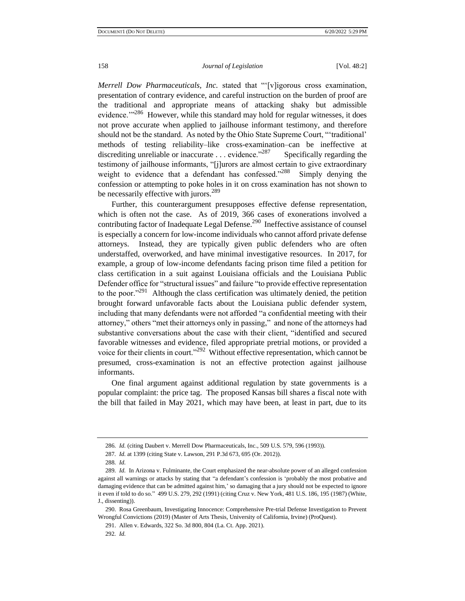*Merrell Dow Pharmaceuticals, Inc.* stated that "'[v]igorous cross examination, presentation of contrary evidence, and careful instruction on the burden of proof are the traditional and appropriate means of attacking shaky but admissible evidence."<sup>286</sup> However, while this standard may hold for regular witnesses, it does not prove accurate when applied to jailhouse informant testimony, and therefore should not be the standard. As noted by the Ohio State Supreme Court, "'traditional' methods of testing reliability–like cross-examination–can be ineffective at discrediting unreliable or inaccurate . . . evidence."<sup>287</sup> Specifically regarding the testimony of jailhouse informants, "[j]urors are almost certain to give extraordinary weight to evidence that a defendant has confessed."288 Simply denying the confession or attempting to poke holes in it on cross examination has not shown to be necessarily effective with jurors.<sup>289</sup>

Further, this counterargument presupposes effective defense representation, which is often not the case. As of 2019, 366 cases of exonerations involved a contributing factor of Inadequate Legal Defense.<sup>290</sup> Ineffective assistance of counsel is especially a concern for low-income individuals who cannot afford private defense attorneys. Instead, they are typically given public defenders who are often understaffed, overworked, and have minimal investigative resources. In 2017, for example, a group of low-income defendants facing prison time filed a petition for class certification in a suit against Louisiana officials and the Louisiana Public Defender office for "structural issues" and failure "to provide effective representation to the poor."<sup>291</sup> Although the class certification was ultimately denied, the petition brought forward unfavorable facts about the Louisiana public defender system, including that many defendants were not afforded "a confidential meeting with their attorney," others "met their attorneys only in passing," and none of the attorneys had substantive conversations about the case with their client, "identified and secured favorable witnesses and evidence, filed appropriate pretrial motions, or provided a voice for their clients in court."<sup>292</sup> Without effective representation, which cannot be presumed, cross-examination is not an effective protection against jailhouse informants.

One final argument against additional regulation by state governments is a popular complaint: the price tag. The proposed Kansas bill shares a fiscal note with the bill that failed in May 2021, which may have been, at least in part, due to its

291. Allen v. Edwards, 322 So. 3d 800, 804 (La. Ct. App. 2021).

<sup>286</sup>*. Id.* (citing Daubert v. Merrell Dow Pharmaceuticals, Inc*.*, 509 U.S. 579, 596 (1993)).

<sup>287</sup>*. Id.* at 1399 (citing State v. Lawson, 291 P.3d 673, 695 (Or. 2012)).

<sup>288</sup>*. Id.*

<sup>289</sup>*. Id.* In Arizona v. Fulminante, the Court emphasized the near-absolute power of an alleged confession against all warnings or attacks by stating that "a defendant's confession is 'probably the most probative and damaging evidence that can be admitted against him,' so damaging that a jury should not be expected to ignore it even if told to do so." 499 U.S. 279, 292 (1991) (citing Cruz v. New York, 481 U.S. 186, 195 (1987) (White, J., dissenting)).

<sup>290.</sup> Rosa Greenbaum, Investigating Innocence: Comprehensive Pre-trial Defense Investigation to Prevent Wrongful Convictions (2019) (Master of Arts Thesis, University of California, Irvine) (ProQuest).

<sup>292</sup>*. Id.*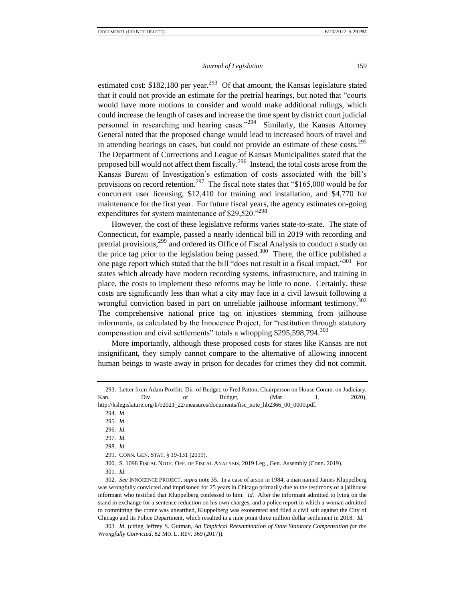estimated cost: \$182,180 per year.<sup>293</sup> Of that amount, the Kansas legislature stated that it could not provide an estimate for the pretrial hearings, but noted that "courts would have more motions to consider and would make additional rulings, which could increase the length of cases and increase the time spent by district court judicial personnel in researching and hearing cases."<sup>294</sup> Similarly, the Kansas Attorney General noted that the proposed change would lead to increased hours of travel and in attending hearings on cases, but could not provide an estimate of these costs.<sup>295</sup> The Department of Corrections and League of Kansas Municipalities stated that the proposed bill would not affect them fiscally.<sup>296</sup> Instead, the total costs arose from the Kansas Bureau of Investigation's estimation of costs associated with the bill's provisions on record retention.<sup>297</sup> The fiscal note states that "\$165,000 would be for concurrent user licensing, \$12,410 for training and installation, and \$4,770 for maintenance for the first year. For future fiscal years, the agency estimates on-going expenditures for system maintenance of  $$29,520.^{298}$ 

However, the cost of these legislative reforms varies state-to-state. The state of Connecticut, for example, passed a nearly identical bill in 2019 with recording and pretrial provisions,<sup>299</sup> and ordered its Office of Fiscal Analysis to conduct a study on the price tag prior to the legislation being passed.<sup>300</sup> There, the office published a one page report which stated that the bill "does not result in a fiscal impact."<sup>301</sup> For states which already have modern recording systems, infrastructure, and training in place, the costs to implement these reforms may be little to none. Certainly, these costs are significantly less than what a city may face in a civil lawsuit following a wrongful conviction based in part on unreliable jailhouse informant testimony.<sup>302</sup> The comprehensive national price tag on injustices stemming from jailhouse informants, as calculated by the Innocence Project, for "restitution through statutory compensation and civil settlements" totals a whopping \$295,598,794.<sup>303</sup>

More importantly, although these proposed costs for states like Kansas are not insignificant, they simply cannot compare to the alternative of allowing innocent human beings to waste away in prison for decades for crimes they did not commit.

294*. Id.*

296*. Id.*

297*. Id.*

298*. Id.*

300. S. 1098 FISCAL NOTE, OFF. OF FISCAL ANALYSIS, 2019 Leg., Gen. Assembly (Conn. 2019).

<sup>293.</sup> Letter from Adam Proffitt, Dir. of Budget, to Fred Patton, Chairperson on House Comm. on Judiciary, Kan. Div. of Budget, (Mar. 1, 2020), http://kslegislature.org/li/b2021\_22/measures/documents/fisc\_note\_hb2366\_00\_0000.pdf.

<sup>295</sup>*. Id.*

<sup>299.</sup> CONN. GEN. STAT. § 19-131 (2019).

<sup>301</sup>*. Id.*

<sup>302</sup>*. See* INNOCENCE PROJECT, *supra* note 35. In a case of arson in 1984, a man named James Kluppelberg was wrongfully convicted and imprisoned for 25 years in Chicago primarily due to the testimony of a jailhouse informant who testified that Kluppelberg confessed to him. *Id.* After the informant admitted to lying on the stand in exchange for a sentence reduction on his own charges, and a police report in which a woman admitted to committing the crime was unearthed, Kluppelberg was exonerated and filed a civil suit against the City of Chicago and its Police Department, which resulted in a nine point three million dollar settlement in 2018. *Id.*

<sup>303</sup>*. Id.* (citing Jeffrey S. Gutman, *An Empirical Reexamination of State Statutory Compensation for the Wrongfully Convicted*, 82 MO. L. REV. 369 (2017)).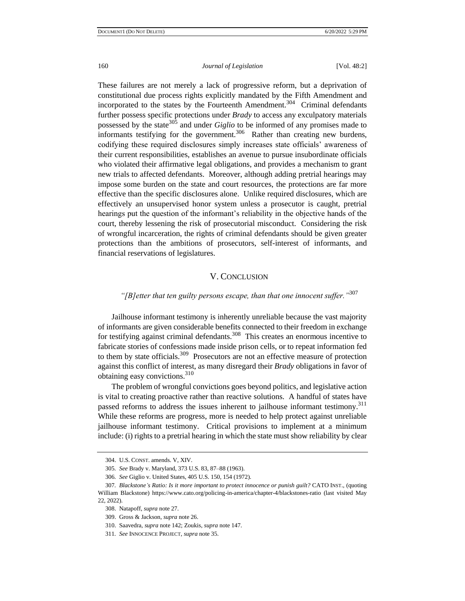These failures are not merely a lack of progressive reform, but a deprivation of constitutional due process rights explicitly mandated by the Fifth Amendment and incorporated to the states by the Fourteenth Amendment.<sup>304</sup> Criminal defendants further possess specific protections under *Brady* to access any exculpatory materials possessed by the state<sup>305</sup> and under *Giglio* to be informed of any promises made to informants testifying for the government.<sup>306</sup> Rather than creating new burdens, codifying these required disclosures simply increases state officials' awareness of their current responsibilities, establishes an avenue to pursue insubordinate officials who violated their affirmative legal obligations, and provides a mechanism to grant new trials to affected defendants. Moreover, although adding pretrial hearings may impose some burden on the state and court resources, the protections are far more effective than the specific disclosures alone. Unlike required disclosures, which are effectively an unsupervised honor system unless a prosecutor is caught, pretrial hearings put the question of the informant's reliability in the objective hands of the court, thereby lessening the risk of prosecutorial misconduct. Considering the risk of wrongful incarceration, the rights of criminal defendants should be given greater protections than the ambitions of prosecutors, self-interest of informants, and financial reservations of legislatures.

### V. CONCLUSION

## *"[B]etter that ten guilty persons escape, than that one innocent suffer."*<sup>307</sup>

Jailhouse informant testimony is inherently unreliable because the vast majority of informants are given considerable benefits connected to their freedom in exchange for testifying against criminal defendants.<sup>308</sup> This creates an enormous incentive to fabricate stories of confessions made inside prison cells, or to repeat information fed to them by state officials.<sup>309</sup> Prosecutors are not an effective measure of protection against this conflict of interest, as many disregard their *Brady* obligations in favor of obtaining easy convictions.<sup>310</sup>

The problem of wrongful convictions goes beyond politics, and legislative action is vital to creating proactive rather than reactive solutions. A handful of states have passed reforms to address the issues inherent to jailhouse informant testimony.<sup>311</sup> While these reforms are progress, more is needed to help protect against unreliable jailhouse informant testimony. Critical provisions to implement at a minimum include: (i) rights to a pretrial hearing in which the state must show reliability by clear

<sup>304.</sup> U.S. CONST. amends. V, XIV.

<sup>305</sup>*. See* Brady v. Maryland, 373 U.S. 83, 87–88 (1963).

<sup>306</sup>*. See* Giglio v. United States, 405 U.S. 150, 154 (1972).

<sup>307</sup>*. Blackstone's Ratio: Is it more important to protect innocence or punish guilt?* CATO INST., (quoting William Blackstone) https://www.cato.org/policing-in-america/chapter-4/blackstones-ratio (last visited May 22, 2022).

<sup>308.</sup> Natapoff, *supra* note 27.

<sup>309.</sup> Gross & Jackson, *supra* note 26.

<sup>310.</sup> Saavedra, *supra* note 142; Zoukis, *supra* note 147.

<sup>311</sup>*. See* INNOCENCE PROJECT, *supra* note 35.